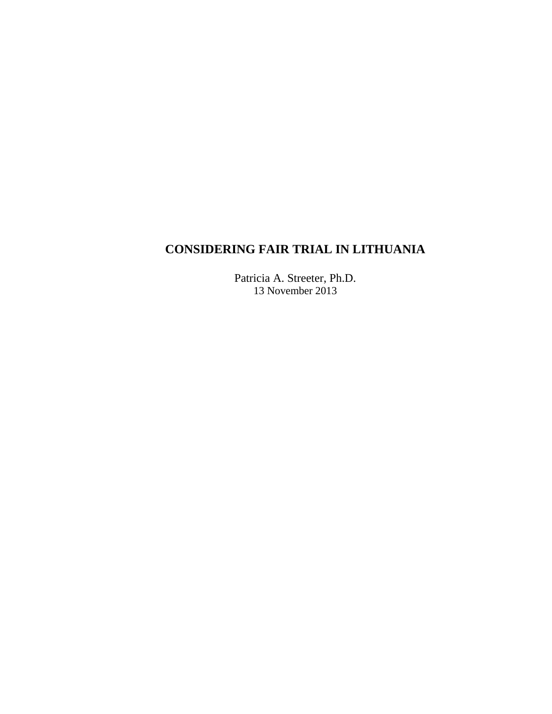# **CONSIDERING FAIR TRIAL IN LITHUANIA**

Patricia A. Streeter, Ph.D. 13 November 2013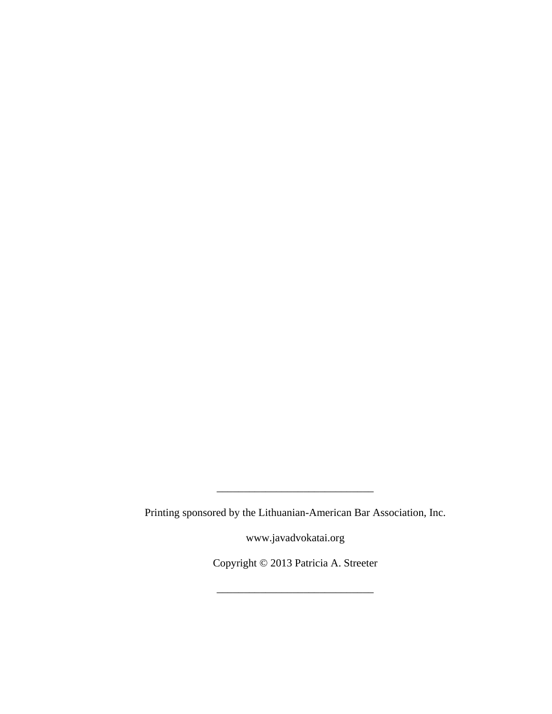Printing sponsored by the Lithuanian-American Bar Association, Inc.

\_\_\_\_\_\_\_\_\_\_\_\_\_\_\_\_\_\_\_\_\_\_\_\_\_\_\_\_\_

www.javadvokatai.org

Copyright © 2013 Patricia A. Streeter

\_\_\_\_\_\_\_\_\_\_\_\_\_\_\_\_\_\_\_\_\_\_\_\_\_\_\_\_\_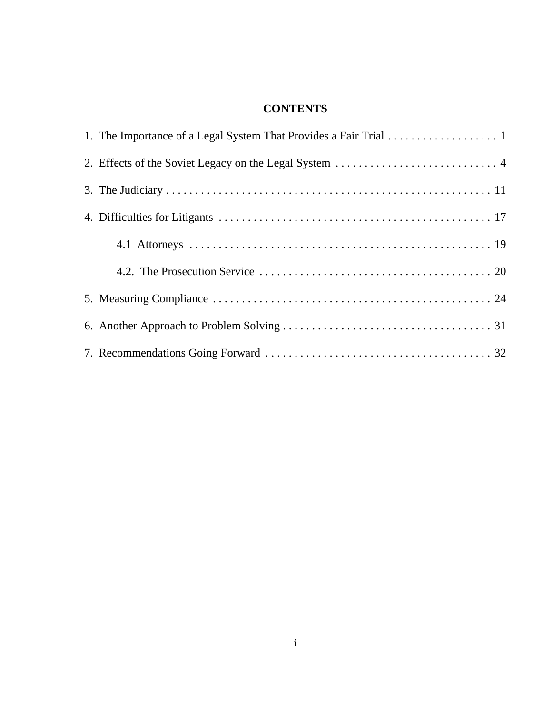## **CONTENTS**

| 1. The Importance of a Legal System That Provides a Fair Trial 1 |  |
|------------------------------------------------------------------|--|
|                                                                  |  |
|                                                                  |  |
|                                                                  |  |
|                                                                  |  |
|                                                                  |  |
|                                                                  |  |
|                                                                  |  |
|                                                                  |  |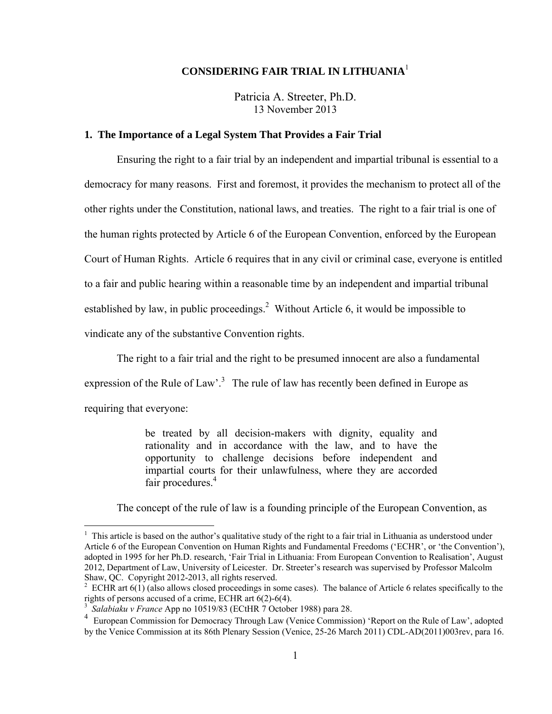### **CONSIDERING FAIR TRIAL IN LITHUANIA**<sup>1</sup>

Patricia A. Streeter, Ph.D. 13 November 2013

#### **1. The Importance of a Legal System That Provides a Fair Trial**

Ensuring the right to a fair trial by an independent and impartial tribunal is essential to a democracy for many reasons. First and foremost, it provides the mechanism to protect all of the other rights under the Constitution, national laws, and treaties. The right to a fair trial is one of the human rights protected by Article 6 of the European Convention, enforced by the European Court of Human Rights. Article 6 requires that in any civil or criminal case, everyone is entitled to a fair and public hearing within a reasonable time by an independent and impartial tribunal established by law, in public proceedings.<sup>2</sup> Without Article 6, it would be impossible to vindicate any of the substantive Convention rights.

The right to a fair trial and the right to be presumed innocent are also a fundamental expression of the Rule of Law'.<sup>3</sup> The rule of law has recently been defined in Europe as requiring that everyone:

> be treated by all decision-makers with dignity, equality and rationality and in accordance with the law, and to have the opportunity to challenge decisions before independent and impartial courts for their unlawfulness, where they are accorded fair procedures.<sup>4</sup>

The concept of the rule of law is a founding principle of the European Convention, as

<sup>&</sup>lt;sup>1</sup> This article is based on the author's qualitative study of the right to a fair trial in Lithuania as understood under Article 6 of the European Convention on Human Rights and Fundamental Freedoms ('ECHR', or 'the Convention'), adopted in 1995 for her Ph.D. research, 'Fair Trial in Lithuania: From European Convention to Realisation', August 2012, Department of Law, University of Leicester. Dr. Streeter's research was supervised by Professor Malcolm Shaw, QC. Copyright 2012-2013, all rights reserved.

<sup>2</sup> ECHR art 6(1) (also allows closed proceedings in some cases). The balance of Article 6 relates specifically to the rights of persons accused of a crime, ECHR art 6(2)-6(4).

<sup>3</sup> *Salabiaku v France* App no 10519/83 (ECtHR 7 October 1988) para 28.

<sup>&</sup>lt;sup>4</sup> European Commission for Democracy Through Law (Venice Commission) 'Report on the Rule of Law', adopted by the Venice Commission at its 86th Plenary Session (Venice, 25-26 March 2011) CDL-AD(2011)003rev, para 16.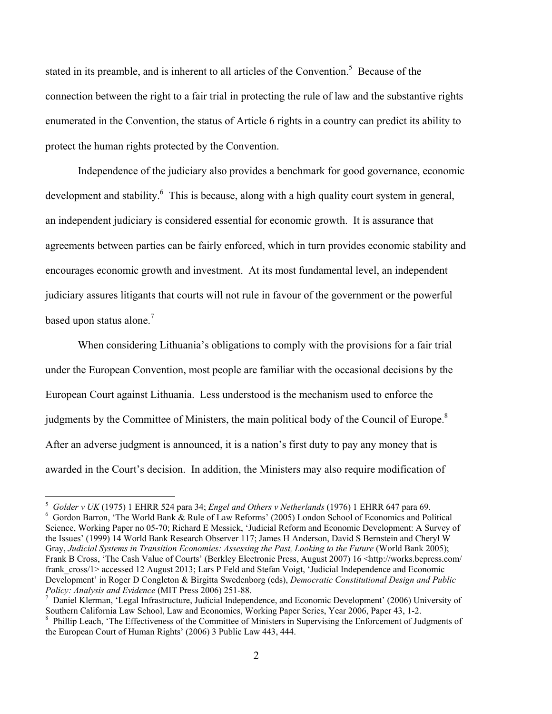stated in its preamble, and is inherent to all articles of the Convention.<sup>5</sup> Because of the connection between the right to a fair trial in protecting the rule of law and the substantive rights enumerated in the Convention, the status of Article 6 rights in a country can predict its ability to protect the human rights protected by the Convention.

Independence of the judiciary also provides a benchmark for good governance, economic development and stability.<sup>6</sup> This is because, along with a high quality court system in general, an independent judiciary is considered essential for economic growth. It is assurance that agreements between parties can be fairly enforced, which in turn provides economic stability and encourages economic growth and investment. At its most fundamental level, an independent judiciary assures litigants that courts will not rule in favour of the government or the powerful based upon status alone.<sup>7</sup>

When considering Lithuania's obligations to comply with the provisions for a fair trial under the European Convention, most people are familiar with the occasional decisions by the European Court against Lithuania. Less understood is the mechanism used to enforce the judgments by the Committee of Ministers, the main political body of the Council of Europe. $8$ After an adverse judgment is announced, it is a nation's first duty to pay any money that is awarded in the Court's decision. In addition, the Ministers may also require modification of

<sup>&</sup>lt;sup>5</sup> Golder v UK (1975) 1 EHRR 524 para 34; *Engel and Others v Netherlands* (1976) 1 EHRR 647 para 69.<br><sup>6</sup> Gorden Berron, 'The World Bank & Bule of Law Boforms' (2005) London Sebeel of Economics and Bel <sup>6</sup> Gordon Barron, 'The World Bank & Rule of Law Reforms' (2005) London School of Economics and Political Science, Working Paper no 05-70; Richard E Messick, 'Judicial Reform and Economic Development: A Survey of the Issues' (1999) 14 World Bank Research Observer 117; James H Anderson, David S Bernstein and Cheryl W Gray, *Judicial Systems in Transition Economies: Assessing the Past, Looking to the Future* (World Bank 2005); Frank B Cross, 'The Cash Value of Courts' (Berkley Electronic Press, August 2007) 16 <http://works.bepress.com/ frank cross/1> accessed 12 August 2013; Lars P Feld and Stefan Voigt, 'Judicial Independence and Economic Development' in Roger D Congleton & Birgitta Swedenborg (eds), *Democratic Constitutional Design and Public Policy: Analysis and Evidence* (MIT Press 2006) 251-88.

Daniel Klerman, 'Legal Infrastructure, Judicial Independence, and Economic Development' (2006) University of Southern California Law School, Law and Economics, Working Paper Series, Year 2006, Paper 43, 1-2. 8

Phillip Leach, 'The Effectiveness of the Committee of Ministers in Supervising the Enforcement of Judgments of the European Court of Human Rights' (2006) 3 Public Law 443, 444.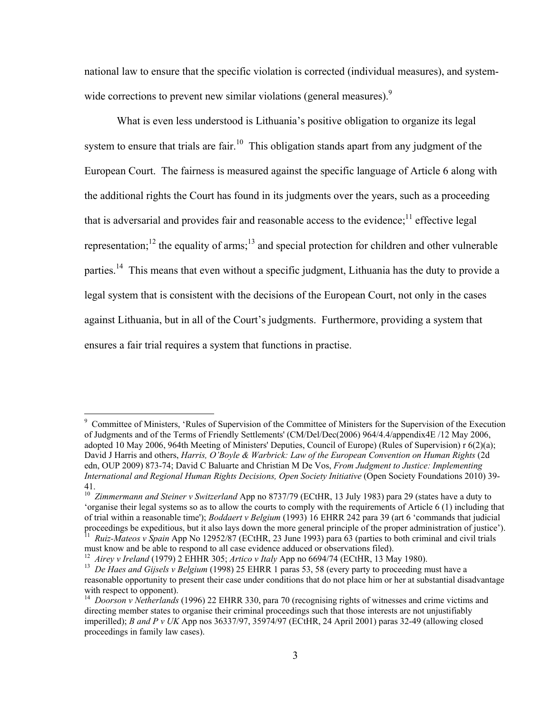national law to ensure that the specific violation is corrected (individual measures), and systemwide corrections to prevent new similar violations (general measures).<sup>9</sup>

What is even less understood is Lithuania's positive obligation to organize its legal system to ensure that trials are fair.<sup>10</sup> This obligation stands apart from any judgment of the European Court. The fairness is measured against the specific language of Article 6 along with the additional rights the Court has found in its judgments over the years, such as a proceeding that is adversarial and provides fair and reasonable access to the evidence;<sup>11</sup> effective legal representation;<sup>12</sup> the equality of arms;<sup>13</sup> and special protection for children and other vulnerable parties.<sup>14</sup> This means that even without a specific judgment, Lithuania has the duty to provide a legal system that is consistent with the decisions of the European Court, not only in the cases against Lithuania, but in all of the Court's judgments. Furthermore, providing a system that ensures a fair trial requires a system that functions in practise.

<sup>&</sup>lt;sup>9</sup> Committee of Ministers, 'Rules of Supervision of the Committee of Ministers for the Supervision of the Execution of Judgments and of the Terms of Friendly Settlements' (CM/Del/Dec(2006) 964/4.4/appendix4E /12 May 2006, adopted 10 May 2006, 964th Meeting of Ministers' Deputies, Council of Europe) (Rules of Supervision) r 6(2)(a); David J Harris and others, *Harris, O'Boyle & Warbrick: Law of the European Convention on Human Rights* (2d edn, OUP 2009) 873-74; David C Baluarte and Christian M De Vos, *From Judgment to Justice: Implementing International and Regional Human Rights Decisions, Open Society Initiative* (Open Society Foundations 2010) 39- 41.

<sup>&</sup>lt;sup>10</sup> Zimmermann and Steiner v Switzerland App no 8737/79 (ECtHR, 13 July 1983) para 29 (states have a duty to 'organise their legal systems so as to allow the courts to comply with the requirements of Article 6 (1) including that of trial within a reasonable time'); *Boddaert v Belgium* (1993) 16 EHRR 242 para 39 (art 6 'commands that judicial proceedings be expeditious, but it also lays down the more general principle of the proper administration of justice').

<sup>&</sup>lt;sup>11</sup> *Ruiz-Mateos v Spain* App No 12952/87 (ECtHR, 23 June 1993) para 63 (parties to both criminal and civil trials must know and be able to respond to all case evidence adduced or observations filed).<br><sup>12</sup> *Airey v Ireland* (1979) 2 EHHR 305; *Artico v Italy* App no 6694/74 (ECtHR, 13 May 1980).<br><sup>13</sup> *De Haes and Gijsels v Belgium* (19

reasonable opportunity to present their case under conditions that do not place him or her at substantial disadvantage with respect to opponent).

<sup>&</sup>lt;sup>14</sup> *Doorson v Netherlands* (1996) 22 EHRR 330, para 70 (recognising rights of witnesses and crime victims and directing member states to organise their criminal proceedings such that those interests are not unjustifiably imperilled); *B and P v UK* App nos 36337/97, 35974/97 (ECtHR, 24 April 2001) paras 32-49 (allowing closed proceedings in family law cases).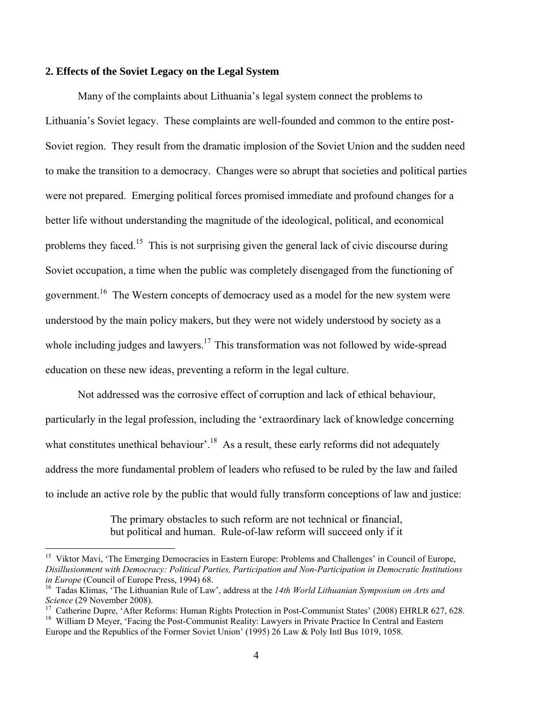#### **2. Effects of the Soviet Legacy on the Legal System**

 Many of the complaints about Lithuania's legal system connect the problems to Lithuania's Soviet legacy. These complaints are well-founded and common to the entire post-Soviet region. They result from the dramatic implosion of the Soviet Union and the sudden need to make the transition to a democracy. Changes were so abrupt that societies and political parties were not prepared. Emerging political forces promised immediate and profound changes for a better life without understanding the magnitude of the ideological, political, and economical problems they faced.<sup>15</sup> This is not surprising given the general lack of civic discourse during Soviet occupation, a time when the public was completely disengaged from the functioning of government.<sup>16</sup> The Western concepts of democracy used as a model for the new system were understood by the main policy makers, but they were not widely understood by society as a whole including judges and lawyers.<sup>17</sup> This transformation was not followed by wide-spread education on these new ideas, preventing a reform in the legal culture.

Not addressed was the corrosive effect of corruption and lack of ethical behaviour, particularly in the legal profession, including the 'extraordinary lack of knowledge concerning what constitutes unethical behaviour'.<sup>18</sup> As a result, these early reforms did not adequately address the more fundamental problem of leaders who refused to be ruled by the law and failed to include an active role by the public that would fully transform conceptions of law and justice:

> The primary obstacles to such reform are not technical or financial, but political and human. Rule-of-law reform will succeed only if it

<sup>&</sup>lt;sup>15</sup> Viktor Mavi, 'The Emerging Democracies in Eastern Europe: Problems and Challenges' in Council of Europe, *Disillusionment with Democracy: Political Parties, Participation and Non-Participation in Democratic Institutions* 

<sup>&</sup>lt;sup>16</sup> Tadas Klimas, 'The Lithuanian Rule of Law', address at the *14th World Lithuanian Symposium on Arts and Science* (29 November 2008).

<sup>&</sup>lt;sup>17</sup> Catherine Dupre, 'After Reforms: Human Rights Protection in Post-Communist States' (2008) EHRLR 627, 628.

<sup>&</sup>lt;sup>18</sup> William D Meyer, 'Facing the Post-Communist Reality: Lawyers in Private Practice In Central and Eastern Europe and the Republics of the Former Soviet Union' (1995) 26 Law & Poly Intl Bus 1019, 1058.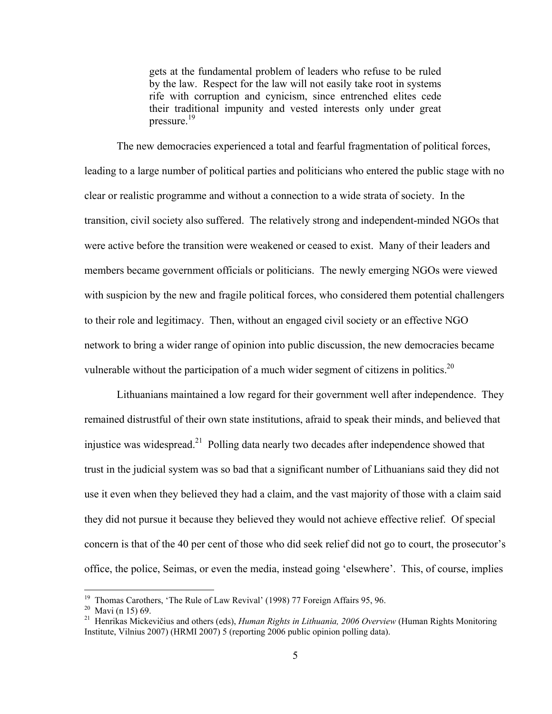gets at the fundamental problem of leaders who refuse to be ruled by the law. Respect for the law will not easily take root in systems rife with corruption and cynicism, since entrenched elites cede their traditional impunity and vested interests only under great pressure  $19$ 

The new democracies experienced a total and fearful fragmentation of political forces, leading to a large number of political parties and politicians who entered the public stage with no clear or realistic programme and without a connection to a wide strata of society. In the transition, civil society also suffered. The relatively strong and independent-minded NGOs that were active before the transition were weakened or ceased to exist. Many of their leaders and members became government officials or politicians. The newly emerging NGOs were viewed with suspicion by the new and fragile political forces, who considered them potential challengers to their role and legitimacy. Then, without an engaged civil society or an effective NGO network to bring a wider range of opinion into public discussion, the new democracies became vulnerable without the participation of a much wider segment of citizens in politics.<sup>20</sup>

Lithuanians maintained a low regard for their government well after independence. They remained distrustful of their own state institutions, afraid to speak their minds, and believed that injustice was widespread.<sup>21</sup> Polling data nearly two decades after independence showed that trust in the judicial system was so bad that a significant number of Lithuanians said they did not use it even when they believed they had a claim, and the vast majority of those with a claim said they did not pursue it because they believed they would not achieve effective relief. Of special concern is that of the 40 per cent of those who did seek relief did not go to court, the prosecutor's office, the police, Seimas, or even the media, instead going 'elsewhere'. This, of course, implies

<sup>&</sup>lt;sup>19</sup> Thomas Carothers, 'The Rule of Law Revival' (1998) 77 Foreign Affairs 95, 96.

 $20$  Mavi (n 15) 69.

<sup>21</sup> Henrikas Mickevičius and others (eds), *Human Rights in Lithuania, 2006 Overview* (Human Rights Monitoring Institute, Vilnius 2007) (HRMI 2007) 5 (reporting 2006 public opinion polling data).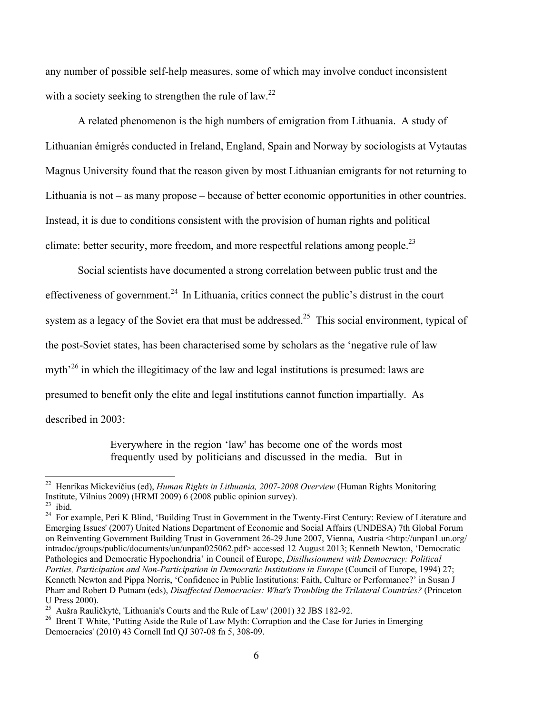any number of possible self-help measures, some of which may involve conduct inconsistent with a society seeking to strengthen the rule of law.<sup>22</sup>

 A related phenomenon is the high numbers of emigration from Lithuania. A study of Lithuanian émigrés conducted in Ireland, England, Spain and Norway by sociologists at Vytautas Magnus University found that the reason given by most Lithuanian emigrants for not returning to Lithuania is not – as many propose – because of better economic opportunities in other countries. Instead, it is due to conditions consistent with the provision of human rights and political climate: better security, more freedom, and more respectful relations among people.<sup>23</sup>

 Social scientists have documented a strong correlation between public trust and the effectiveness of government.<sup>24</sup> In Lithuania, critics connect the public's distrust in the court system as a legacy of the Soviet era that must be addressed.<sup>25</sup> This social environment, typical of the post-Soviet states, has been characterised some by scholars as the 'negative rule of law myth<sup>-26</sup> in which the illegitimacy of the law and legal institutions is presumed: laws are presumed to benefit only the elite and legal institutions cannot function impartially. As described in 2003:

> Everywhere in the region 'law' has become one of the words most frequently used by politicians and discussed in the media. But in

<sup>22</sup> Henrikas Mickevičius (ed), *Human Rights in Lithuania, 2007-2008 Overview* (Human Rights Monitoring Institute, Vilnius 2009) (HRMI 2009) 6 (2008 public opinion survey).  $23$  ibid.

<sup>&</sup>lt;sup>24</sup> For example, Peri K Blind, 'Building Trust in Government in the Twenty-First Century: Review of Literature and Emerging Issues' (2007) United Nations Department of Economic and Social Affairs (UNDESA) 7th Global Forum on Reinventing Government Building Trust in Government 26-29 June 2007, Vienna, Austria <http://unpan1.un.org/ intradoc/groups/public/documents/un/unpan025062.pdf> accessed 12 August 2013; Kenneth Newton, 'Democratic Pathologies and Democratic Hypochondria' in Council of Europe, *Disillusionment with Democracy: Political Parties, Participation and Non-Participation in Democratic Institutions in Europe* (Council of Europe, 1994) 27; Kenneth Newton and Pippa Norris, 'Confidence in Public Institutions: Faith, Culture or Performance?' in Susan J Pharr and Robert D Putnam (eds), *Disaffected Democracies: What's Troubling the Trilateral Countries?* (Princeton U Press 2000).<br><sup>25</sup> Aušra Rauličkytė, 'Lithuania's Courts and the Rule of Law' (2001) 32 JBS 182-92.

<sup>&</sup>lt;sup>26</sup> Brent T White, 'Putting Aside the Rule of Law Myth: Corruption and the Case for Juries in Emerging Democracies' (2010) 43 Cornell Intl QJ 307-08 fn 5, 308-09.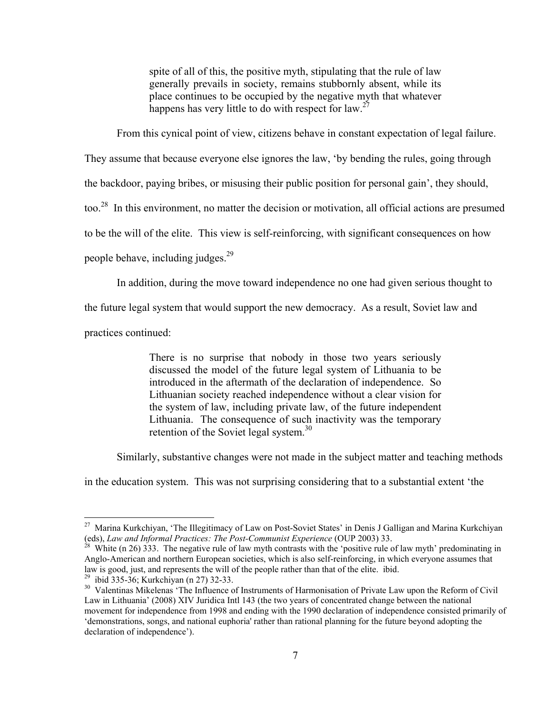spite of all of this, the positive myth, stipulating that the rule of law generally prevails in society, remains stubbornly absent, while its place continues to be occupied by the negative myth that whatever happens has very little to do with respect for  $law$ .<sup>27</sup>

From this cynical point of view, citizens behave in constant expectation of legal failure.

They assume that because everyone else ignores the law, 'by bending the rules, going through

the backdoor, paying bribes, or misusing their public position for personal gain', they should,

too.28 In this environment, no matter the decision or motivation, all official actions are presumed

to be the will of the elite. This view is self-reinforcing, with significant consequences on how

people behave, including judges.29

In addition, during the move toward independence no one had given serious thought to

the future legal system that would support the new democracy. As a result, Soviet law and

practices continued:

 $\overline{a}$ 

There is no surprise that nobody in those two years seriously discussed the model of the future legal system of Lithuania to be introduced in the aftermath of the declaration of independence. So Lithuanian society reached independence without a clear vision for the system of law, including private law, of the future independent Lithuania. The consequence of such inactivity was the temporary retention of the Soviet legal system.<sup>30</sup>

Similarly, substantive changes were not made in the subject matter and teaching methods

in the education system. This was not surprising considering that to a substantial extent 'the

<sup>&</sup>lt;sup>27</sup> Marina Kurkchiyan, 'The Illegitimacy of Law on Post-Soviet States' in Denis J Galligan and Marina Kurkchiyan (eds), *Law and Informal Practices: The Post-Communist Experience* (OUP 2003) 33.<br><sup>28</sup> White (n 26) 333. The negative rule of law myth contrasts with the 'positive rule of law myth' predominating in

Anglo-American and northern European societies, which is also self-reinforcing, in which everyone assumes that law is good, just, and represents the will of the people rather than that of the elite. ibid. 29 ibid 335-36; Kurkchiyan (n 27) 32-33.

<sup>&</sup>lt;sup>30</sup> Valentinas Mikelenas 'The Influence of Instruments of Harmonisation of Private Law upon the Reform of Civil Law in Lithuania' (2008) XIV Juridica Intl 143 (the two years of concentrated change between the national movement for independence from 1998 and ending with the 1990 declaration of independence consisted primarily of 'demonstrations, songs, and national euphoria' rather than rational planning for the future beyond adopting the declaration of independence').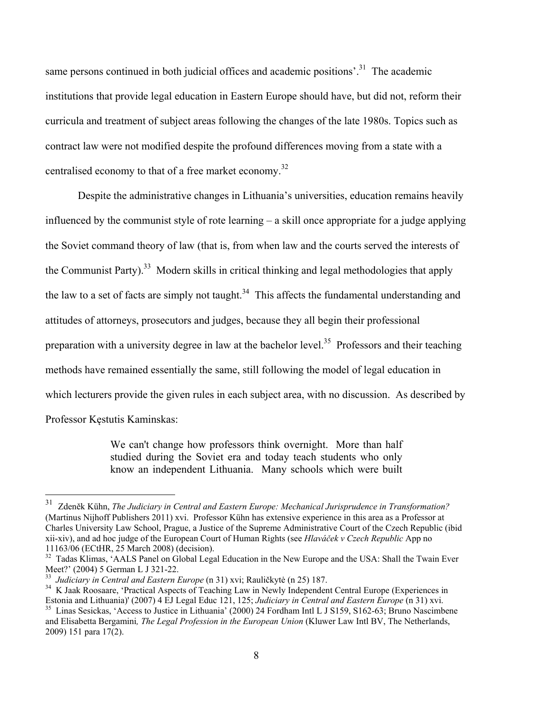same persons continued in both judicial offices and academic positions'.<sup>31</sup> The academic institutions that provide legal education in Eastern Europe should have, but did not, reform their curricula and treatment of subject areas following the changes of the late 1980s. Topics such as contract law were not modified despite the profound differences moving from a state with a centralised economy to that of a free market economy.32

Despite the administrative changes in Lithuania's universities, education remains heavily influenced by the communist style of rote learning – a skill once appropriate for a judge applying the Soviet command theory of law (that is, from when law and the courts served the interests of the Communist Party).<sup>33</sup> Modern skills in critical thinking and legal methodologies that apply the law to a set of facts are simply not taught.<sup>34</sup> This affects the fundamental understanding and attitudes of attorneys, prosecutors and judges, because they all begin their professional preparation with a university degree in law at the bachelor level.<sup>35</sup> Professors and their teaching methods have remained essentially the same, still following the model of legal education in which lecturers provide the given rules in each subject area, with no discussion. As described by Professor Kęstutis Kaminskas:

> We can't change how professors think overnight. More than half studied during the Soviet era and today teach students who only know an independent Lithuania. Many schools which were built

<sup>31</sup> Zdeněk Kühn, *The Judiciary in Central and Eastern Europe: Mechanical Jurisprudence in Transformation?* (Martinus Nijhoff Publishers 2011) xvi. Professor Kühn has extensive experience in this area as a Professor at Charles University Law School, Prague, a Justice of the Supreme Administrative Court of the Czech Republic (ibid xii-xiv), and ad hoc judge of the European Court of Human Rights (see *Hlaváček v Czech Republic* App no 11163/06 (ECtHR, 25 March 2008) (decision).

<sup>&</sup>lt;sup>32</sup> Tadas Klimas, 'AALS Panel on Global Legal Education in the New Europe and the USA: Shall the Twain Ever Meet?' (2004) 5 German L J 321-22.<br><sup>33</sup> Judiciary in Central and Eastern Europe (n 31) xvi; Rauličkytė (n 25) 187.

<sup>&</sup>lt;sup>34</sup> K Jaak Roosaare, 'Practical Aspects of Teaching Law in Newly Independent Central Europe (Experiences in Estonia and Lithuania)' (2007) 4 EJ Legal Educ 121, 125; Judiciary in Central and Eastern Europe (n 31) xvi.

<sup>&</sup>lt;sup>35</sup> Linas Sesickas, 'Access to Justice in Lithuania' (2000) 24 Fordham Intl L J S159, S162-63; Bruno Nascimbene and Elisabetta Bergamini*, The Legal Profession in the European Union* (Kluwer Law Intl BV, The Netherlands, 2009) 151 para 17(2).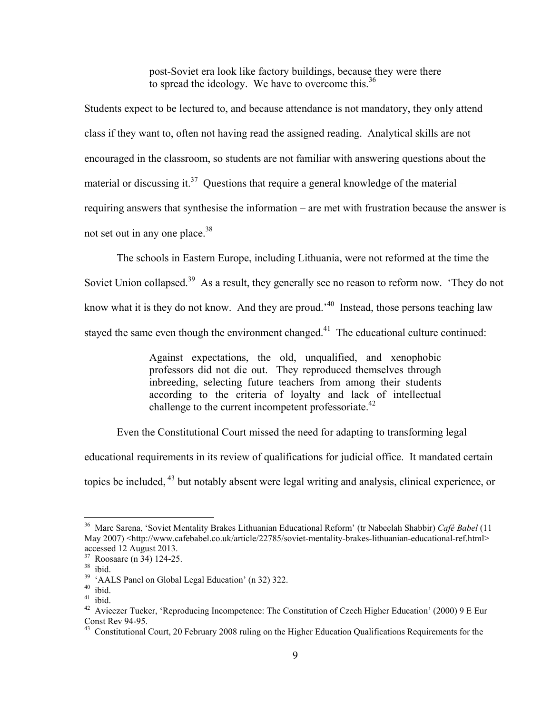post-Soviet era look like factory buildings, because they were there to spread the ideology. We have to overcome this. $36$ 

Students expect to be lectured to, and because attendance is not mandatory, they only attend class if they want to, often not having read the assigned reading. Analytical skills are not encouraged in the classroom, so students are not familiar with answering questions about the material or discussing it.<sup>37</sup> Ouestions that require a general knowledge of the material – requiring answers that synthesise the information – are met with frustration because the answer is not set out in any one place.<sup>38</sup>

 The schools in Eastern Europe, including Lithuania, were not reformed at the time the Soviet Union collapsed.<sup>39</sup> As a result, they generally see no reason to reform now. 'They do not know what it is they do not know. And they are proud.<sup>40</sup> Instead, those persons teaching law stayed the same even though the environment changed.<sup>41</sup> The educational culture continued:

> Against expectations, the old, unqualified, and xenophobic professors did not die out. They reproduced themselves through inbreeding, selecting future teachers from among their students according to the criteria of loyalty and lack of intellectual challenge to the current incompetent professoriate.<sup> $42$ </sup>

Even the Constitutional Court missed the need for adapting to transforming legal

educational requirements in its review of qualifications for judicial office. It mandated certain

topics be included, 43 but notably absent were legal writing and analysis, clinical experience, or

<sup>36</sup> Marc Sarena, 'Soviet Mentality Brakes Lithuanian Educational Reform' (tr Nabeelah Shabbir) *Café Babel* (11 May 2007) <http://www.cafebabel.co.uk/article/22785/soviet-mentality-brakes-lithuanian-educational-ref.html> accessed 12 August 2013.

<sup>37</sup> Roosaare (n 34) 124-25.

<sup>38</sup> ibid.

<sup>&</sup>lt;sup>39</sup> 'AALS Panel on Global Legal Education' (n 32) 322.

 $^{40}$ ibid.

 $41$  ibid.

<sup>&</sup>lt;sup>42</sup> Avieczer Tucker, 'Reproducing Incompetence: The Constitution of Czech Higher Education' (2000) 9 E Eur Const Rev 94-95.

<sup>&</sup>lt;sup>43</sup> Constitutional Court, 20 February 2008 ruling on the Higher Education Qualifications Requirements for the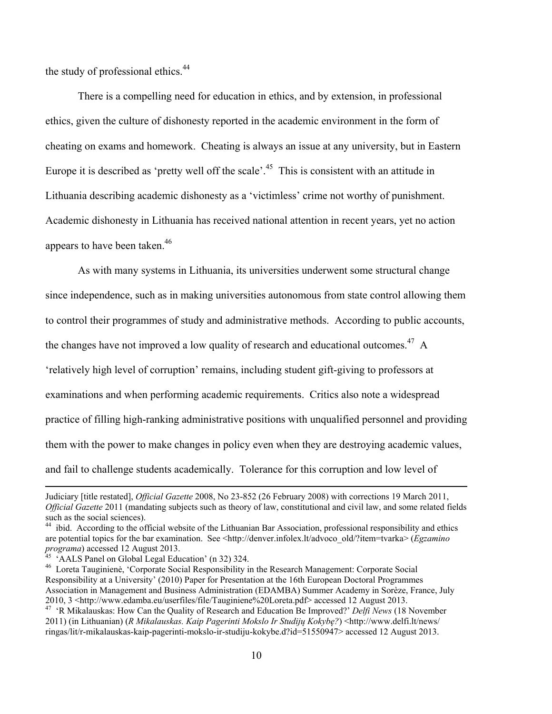the study of professional ethics.<sup>44</sup>

There is a compelling need for education in ethics, and by extension, in professional ethics, given the culture of dishonesty reported in the academic environment in the form of cheating on exams and homework. Cheating is always an issue at any university, but in Eastern Europe it is described as 'pretty well off the scale'.<sup>45</sup> This is consistent with an attitude in Lithuania describing academic dishonesty as a 'victimless' crime not worthy of punishment. Academic dishonesty in Lithuania has received national attention in recent years, yet no action appears to have been taken.<sup>46</sup>

 As with many systems in Lithuania, its universities underwent some structural change since independence, such as in making universities autonomous from state control allowing them to control their programmes of study and administrative methods. According to public accounts, the changes have not improved a low quality of research and educational outcomes.<sup>47</sup> A 'relatively high level of corruption' remains, including student gift-giving to professors at examinations and when performing academic requirements. Critics also note a widespread practice of filling high-ranking administrative positions with unqualified personnel and providing them with the power to make changes in policy even when they are destroying academic values, and fail to challenge students academically. Tolerance for this corruption and low level of

Judiciary [title restated], *Official Gazette* 2008, No 23-852 (26 February 2008) with corrections 19 March 2011, *Official Gazette* 2011 (mandating subjects such as theory of law, constitutional and civil law, and some related fields such as the social sciences).

<sup>&</sup>lt;sup>44</sup> ibid. According to the official website of the Lithuanian Bar Association, professional responsibility and ethics are potential topics for the bar examination. See <http://denver.infolex.lt/advoco\_old/?item=tvarka> (*Egzamino programa*) accessed 12 August 2013.<br><sup>45</sup> 'AALS Panel on Global Legal Education' (n 32) 324.

<sup>46</sup> Loreta Tauginienė, 'Corporate Social Responsibility in the Research Management: Corporate Social Responsibility at a University' (2010) Paper for Presentation at the 16th European Doctoral Programmes Association in Management and Business Administration (EDAMBA) Summer Academy in Sorèze, France, July 2010, 3 <http://www.edamba.eu/userfiles/file/Tauginiene%20Loreta.pdf> accessed 12 August 2013.

<sup>&</sup>lt;sup>47</sup> 'R Mikalauskas: How Can the Quality of Research and Education Be Improved?' *Delfi News* (18 November 2011) (in Lithuanian) (*R Mikalauskas. Kaip Pagerinti Mokslo Ir Studijų Kokybę?*) <http://www.delfi.lt/news/ ringas/lit/r-mikalauskas-kaip-pagerinti-mokslo-ir-studiju-kokybe.d?id=51550947> accessed 12 August 2013.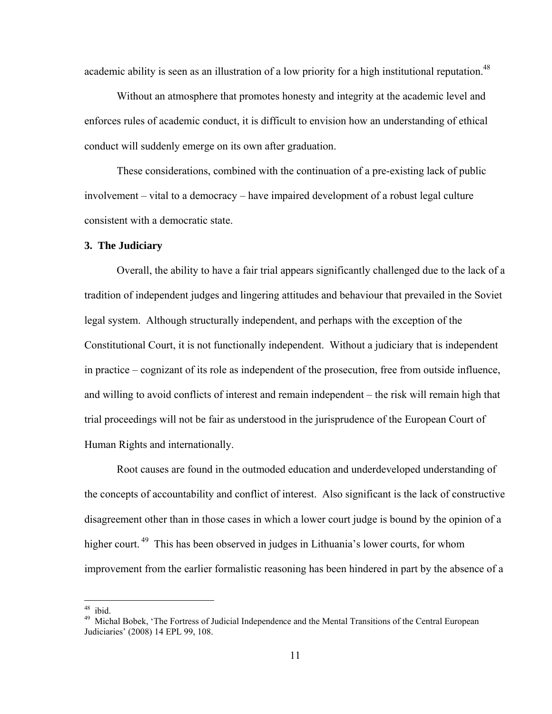academic ability is seen as an illustration of a low priority for a high institutional reputation.<sup>48</sup>

 Without an atmosphere that promotes honesty and integrity at the academic level and enforces rules of academic conduct, it is difficult to envision how an understanding of ethical conduct will suddenly emerge on its own after graduation.

 These considerations, combined with the continuation of a pre-existing lack of public involvement – vital to a democracy – have impaired development of a robust legal culture consistent with a democratic state.

#### **3. The Judiciary**

 Overall, the ability to have a fair trial appears significantly challenged due to the lack of a tradition of independent judges and lingering attitudes and behaviour that prevailed in the Soviet legal system. Although structurally independent, and perhaps with the exception of the Constitutional Court, it is not functionally independent. Without a judiciary that is independent in practice – cognizant of its role as independent of the prosecution, free from outside influence, and willing to avoid conflicts of interest and remain independent – the risk will remain high that trial proceedings will not be fair as understood in the jurisprudence of the European Court of Human Rights and internationally.

Root causes are found in the outmoded education and underdeveloped understanding of the concepts of accountability and conflict of interest. Also significant is the lack of constructive disagreement other than in those cases in which a lower court judge is bound by the opinion of a higher court.<sup>49</sup> This has been observed in judges in Lithuania's lower courts, for whom improvement from the earlier formalistic reasoning has been hindered in part by the absence of a

ibid

<sup>&</sup>lt;sup>49</sup> Michal Bobek, 'The Fortress of Judicial Independence and the Mental Transitions of the Central European Judiciaries' (2008) 14 EPL 99, 108.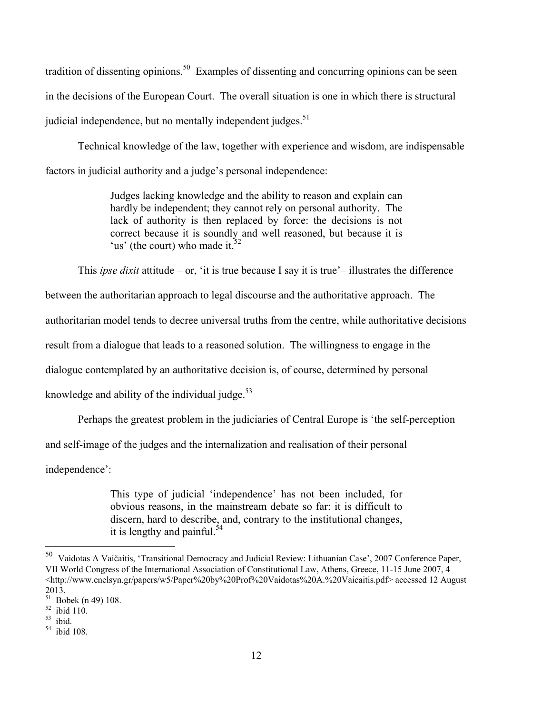tradition of dissenting opinions.<sup>50</sup> Examples of dissenting and concurring opinions can be seen in the decisions of the European Court. The overall situation is one in which there is structural judicial independence, but no mentally independent judges.  $51$ 

 Technical knowledge of the law, together with experience and wisdom, are indispensable factors in judicial authority and a judge's personal independence:

> Judges lacking knowledge and the ability to reason and explain can hardly be independent; they cannot rely on personal authority. The lack of authority is then replaced by force: the decisions is not correct because it is soundly and well reasoned, but because it is 'us' (the court) who made it.  $52$

This *ipse dixit* attitude – or, 'it is true because I say it is true'– illustrates the difference

between the authoritarian approach to legal discourse and the authoritative approach. The

authoritarian model tends to decree universal truths from the centre, while authoritative decisions

result from a dialogue that leads to a reasoned solution. The willingness to engage in the

dialogue contemplated by an authoritative decision is, of course, determined by personal

knowledge and ability of the individual judge. $53$ 

Perhaps the greatest problem in the judiciaries of Central Europe is 'the self-perception

and self-image of the judges and the internalization and realisation of their personal

independence':

This type of judicial 'independence' has not been included, for obvious reasons, in the mainstream debate so far: it is difficult to discern, hard to describe, and, contrary to the institutional changes, it is lengthy and painful.<sup>54</sup>

<sup>50</sup> 50 Vaidotas A Vaičaitis, 'Transitional Democracy and Judicial Review: Lithuanian Case', 2007 Conference Paper, VII World Congress of the International Association of Constitutional Law, Athens, Greece, 11-15 June 2007, 4 <http://www.enelsyn.gr/papers/w5/Paper%20by%20Prof%20Vaidotas%20A.%20Vaicaitis.pdf> accessed 12 August 2013.

<sup>51</sup> Bobek (n 49) 108.

<sup>52</sup> ibid 110.

<sup>53</sup> ibid.

<sup>54</sup> ibid 108.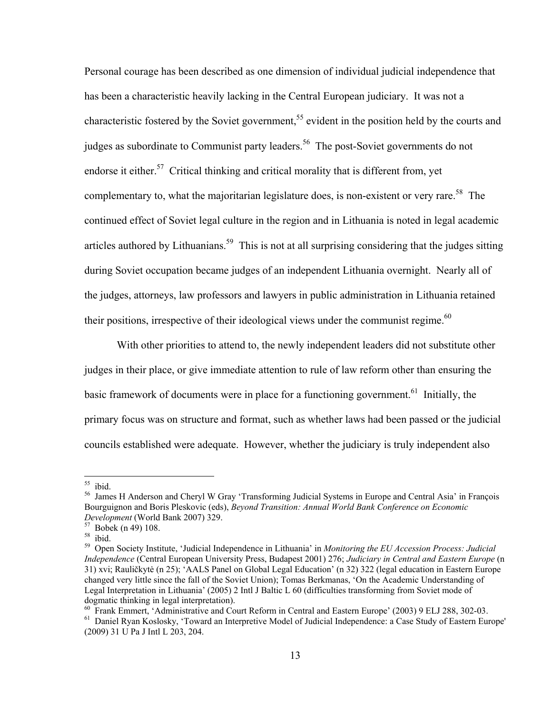Personal courage has been described as one dimension of individual judicial independence that has been a characteristic heavily lacking in the Central European judiciary. It was not a characteristic fostered by the Soviet government,<sup>55</sup> evident in the position held by the courts and judges as subordinate to Communist party leaders.<sup>56</sup> The post-Soviet governments do not endorse it either.<sup>57</sup> Critical thinking and critical morality that is different from, yet complementary to, what the majoritarian legislature does, is non-existent or very rare.<sup>58</sup> The continued effect of Soviet legal culture in the region and in Lithuania is noted in legal academic articles authored by Lithuanians.<sup>59</sup> This is not at all surprising considering that the judges sitting during Soviet occupation became judges of an independent Lithuania overnight. Nearly all of the judges, attorneys, law professors and lawyers in public administration in Lithuania retained their positions, irrespective of their ideological views under the communist regime. $60$ 

 With other priorities to attend to, the newly independent leaders did not substitute other judges in their place, or give immediate attention to rule of law reform other than ensuring the basic framework of documents were in place for a functioning government.<sup>61</sup> Initially, the primary focus was on structure and format, such as whether laws had been passed or the judicial councils established were adequate. However, whether the judiciary is truly independent also

 $55$  ibid.

<sup>56</sup> James H Anderson and Cheryl W Gray 'Transforming Judicial Systems in Europe and Central Asia' in François Bourguignon and Boris Pleskovic (eds), *Beyond Transition: Annual World Bank Conference on Economic Development* (World Bank 2007) 329. 57 Bobek (n 49) 108.

<sup>58</sup> ibid.

<sup>59</sup> Open Society Institute, 'Judicial Independence in Lithuania' in *Monitoring the EU Accession Process: Judicial Independence* (Central European University Press, Budapest 2001) 276; *Judiciary in Central and Eastern Europe* (n 31) xvi; Rauličkytė (n 25); 'AALS Panel on Global Legal Education' (n 32) 322 (legal education in Eastern Europe changed very little since the fall of the Soviet Union); Tomas Berkmanas, 'On the Academic Understanding of Legal Interpretation in Lithuania' (2005) 2 Intl J Baltic L 60 (difficulties transforming from Soviet mode of dogmatic thinking in legal interpretation).

<sup>60</sup> Frank Emmert, 'Administrative and Court Reform in Central and Eastern Europe' (2003) 9 ELJ 288, 302-03. <sup>61</sup> Daniel Ryan Koslosky, 'Toward an Interpretive Model of Judicial Independence: a Case Study of Eastern Europe' (2009) 31 U Pa J Intl L 203, 204.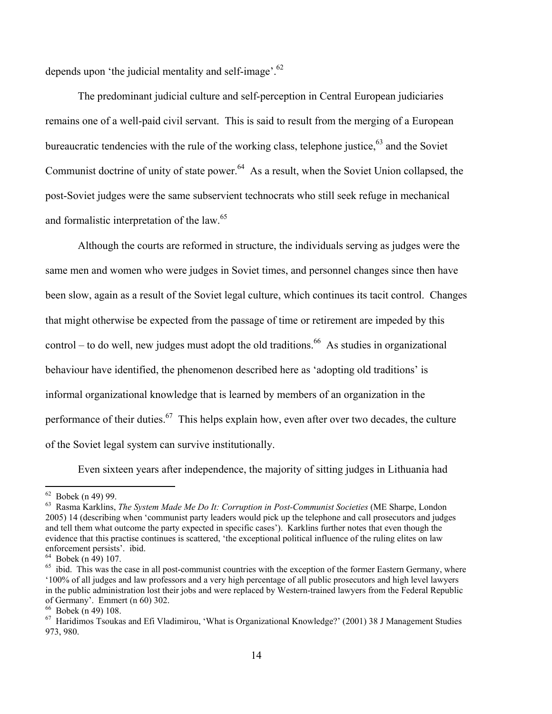depends upon 'the judicial mentality and self-image'.<sup>62</sup>

 The predominant judicial culture and self-perception in Central European judiciaries remains one of a well-paid civil servant. This is said to result from the merging of a European bureaucratic tendencies with the rule of the working class, telephone justice,  $63$  and the Soviet Communist doctrine of unity of state power. $64$  As a result, when the Soviet Union collapsed, the post-Soviet judges were the same subservient technocrats who still seek refuge in mechanical and formalistic interpretation of the law.<sup>65</sup>

 Although the courts are reformed in structure, the individuals serving as judges were the same men and women who were judges in Soviet times, and personnel changes since then have been slow, again as a result of the Soviet legal culture, which continues its tacit control. Changes that might otherwise be expected from the passage of time or retirement are impeded by this control – to do well, new judges must adopt the old traditions.<sup>66</sup> As studies in organizational behaviour have identified, the phenomenon described here as 'adopting old traditions' is informal organizational knowledge that is learned by members of an organization in the performance of their duties.<sup>67</sup> This helps explain how, even after over two decades, the culture of the Soviet legal system can survive institutionally.

Even sixteen years after independence, the majority of sitting judges in Lithuania had

 $62$  Bobek (n 49) 99.

<sup>63</sup> Rasma Karklins, *The System Made Me Do It: Corruption in Post-Communist Societies* (ME Sharpe, London 2005) 14 (describing when 'communist party leaders would pick up the telephone and call prosecutors and judges and tell them what outcome the party expected in specific cases'). Karklins further notes that even though the evidence that this practise continues is scattered, 'the exceptional political influence of the ruling elites on law enforcement persists'. ibid.

<sup>64</sup> Bobek (n 49) 107.

<sup>&</sup>lt;sup>65</sup> ibid. This was the case in all post-communist countries with the exception of the former Eastern Germany, where '100% of all judges and law professors and a very high percentage of all public prosecutors and high level lawyers in the public administration lost their jobs and were replaced by Western-trained lawyers from the Federal Republic of Germany'. Emmert (n 60) 302.

<sup>66</sup> Bobek (n 49) 108.

<sup>&</sup>lt;sup>67</sup> Haridimos Tsoukas and Efi Vladimirou, 'What is Organizational Knowledge?' (2001) 38 J Management Studies 973, 980.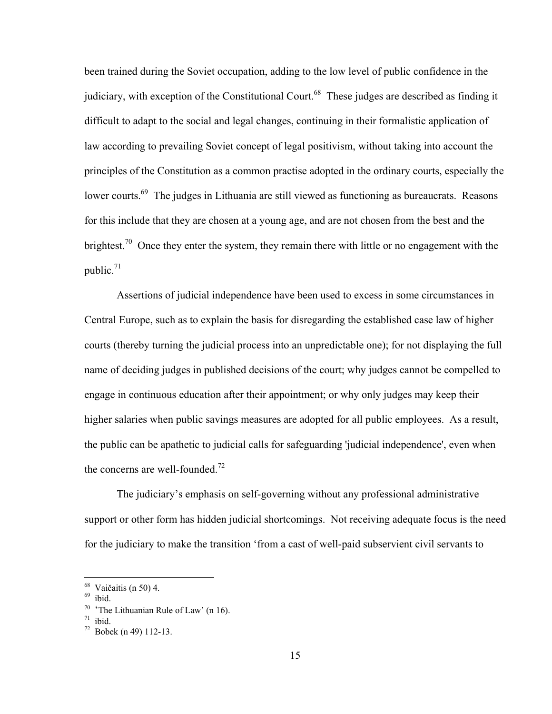been trained during the Soviet occupation, adding to the low level of public confidence in the judiciary, with exception of the Constitutional Court.<sup>68</sup> These judges are described as finding it difficult to adapt to the social and legal changes, continuing in their formalistic application of law according to prevailing Soviet concept of legal positivism, without taking into account the principles of the Constitution as a common practise adopted in the ordinary courts, especially the lower courts.<sup>69</sup> The judges in Lithuania are still viewed as functioning as bureaucrats. Reasons for this include that they are chosen at a young age, and are not chosen from the best and the brightest.<sup>70</sup> Once they enter the system, they remain there with little or no engagement with the public. $71$ 

 Assertions of judicial independence have been used to excess in some circumstances in Central Europe, such as to explain the basis for disregarding the established case law of higher courts (thereby turning the judicial process into an unpredictable one); for not displaying the full name of deciding judges in published decisions of the court; why judges cannot be compelled to engage in continuous education after their appointment; or why only judges may keep their higher salaries when public savings measures are adopted for all public employees. As a result, the public can be apathetic to judicial calls for safeguarding 'judicial independence', even when the concerns are well-founded.<sup>72</sup>

 The judiciary's emphasis on self-governing without any professional administrative support or other form has hidden judicial shortcomings. Not receiving adequate focus is the need for the judiciary to make the transition 'from a cast of well-paid subservient civil servants to

 $68 \text{ Vaičaitis}$  (n 50) 4.<br> $69 \text{ ibid.}$ 

 $70^{\circ}$  'The Lithuanian Rule of Law' (n 16).<br> $71^{\circ}$  ibid.

 $72$  Bobek (n 49) 112-13.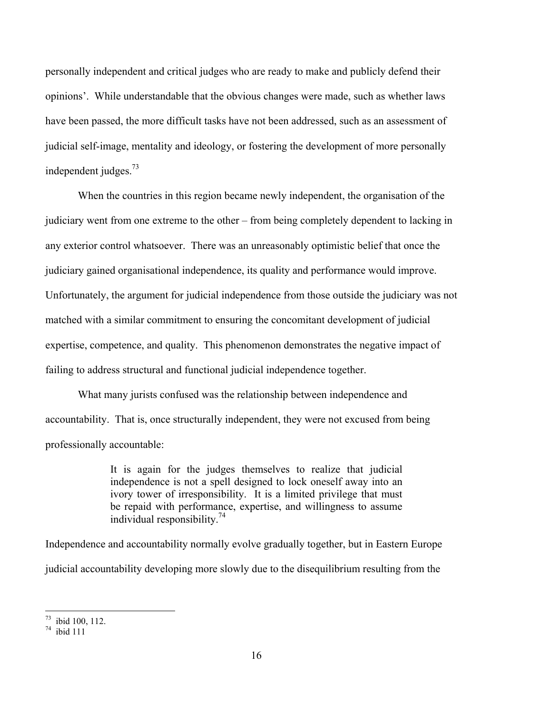personally independent and critical judges who are ready to make and publicly defend their opinions'. While understandable that the obvious changes were made, such as whether laws have been passed, the more difficult tasks have not been addressed, such as an assessment of judicial self-image, mentality and ideology, or fostering the development of more personally independent judges. $^{73}$ 

When the countries in this region became newly independent, the organisation of the judiciary went from one extreme to the other – from being completely dependent to lacking in any exterior control whatsoever. There was an unreasonably optimistic belief that once the judiciary gained organisational independence, its quality and performance would improve. Unfortunately, the argument for judicial independence from those outside the judiciary was not matched with a similar commitment to ensuring the concomitant development of judicial expertise, competence, and quality. This phenomenon demonstrates the negative impact of failing to address structural and functional judicial independence together.

 What many jurists confused was the relationship between independence and accountability. That is, once structurally independent, they were not excused from being professionally accountable:

> It is again for the judges themselves to realize that judicial independence is not a spell designed to lock oneself away into an ivory tower of irresponsibility. It is a limited privilege that must be repaid with performance, expertise, and willingness to assume individual responsibility. $^{74}$

Independence and accountability normally evolve gradually together, but in Eastern Europe judicial accountability developing more slowly due to the disequilibrium resulting from the

 $^{73}$  ibid 100, 112.

 $74$  ibid 111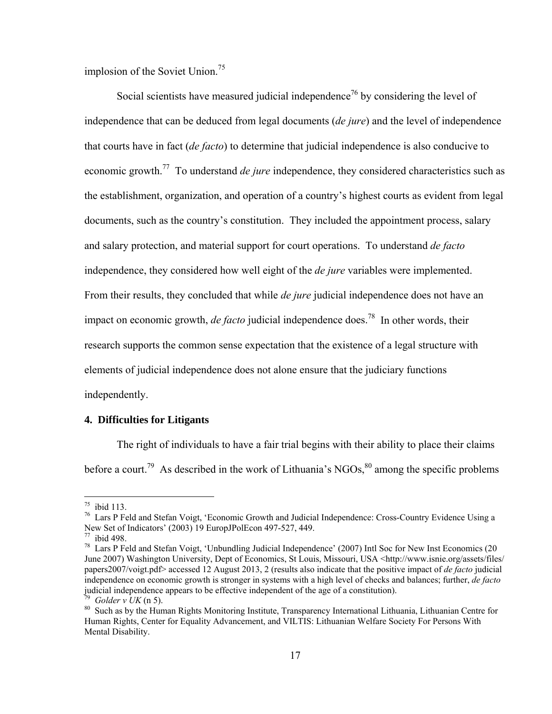implosion of the Soviet Union.<sup>75</sup>

Social scientists have measured judicial independence<sup>76</sup> by considering the level of independence that can be deduced from legal documents (*de jure*) and the level of independence that courts have in fact (*de facto*) to determine that judicial independence is also conducive to economic growth.<sup>77</sup> To understand *de jure* independence, they considered characteristics such as the establishment, organization, and operation of a country's highest courts as evident from legal documents, such as the country's constitution. They included the appointment process, salary and salary protection, and material support for court operations. To understand *de facto* independence, they considered how well eight of the *de jure* variables were implemented. From their results, they concluded that while *de jure* judicial independence does not have an impact on economic growth, *de facto* judicial independence does.<sup>78</sup> In other words, their research supports the common sense expectation that the existence of a legal structure with elements of judicial independence does not alone ensure that the judiciary functions independently.

#### **4. Difficulties for Litigants**

 The right of individuals to have a fair trial begins with their ability to place their claims before a court.<sup>79</sup> As described in the work of Lithuania's NGOs,  $80$  among the specific problems

 $75$  ibid 113.

<sup>76</sup> Lars P Feld and Stefan Voigt, 'Economic Growth and Judicial Independence: Cross-Country Evidence Using a New Set of Indicators' (2003) 19 EuropJPolEcon 497-527, 449.

<sup>77</sup> ibid 498.

<sup>78</sup> Lars P Feld and Stefan Voigt, 'Unbundling Judicial Independence' (2007) Intl Soc for New Inst Economics (20 June 2007) Washington University, Dept of Economics, St Louis, Missouri, USA <http://www.isnie.org/assets/files/ papers2007/voigt.pdf> accessed 12 August 2013, 2 (results also indicate that the positive impact of *de facto* judicial independence on economic growth is stronger in systems with a high level of checks and balances; further, *de facto*  judicial independence appears to be effective independent of the age of a constitution).

<sup>&</sup>lt;sup>79</sup> Golder v UK (n 5).<br><sup>80</sup> Such as by the Human Rights Monitoring Institute, Transparency International Lithuania, Lithuanian Centre for Human Rights, Center for Equality Advancement, and VILTIS: Lithuanian Welfare Society For Persons With Mental Disability.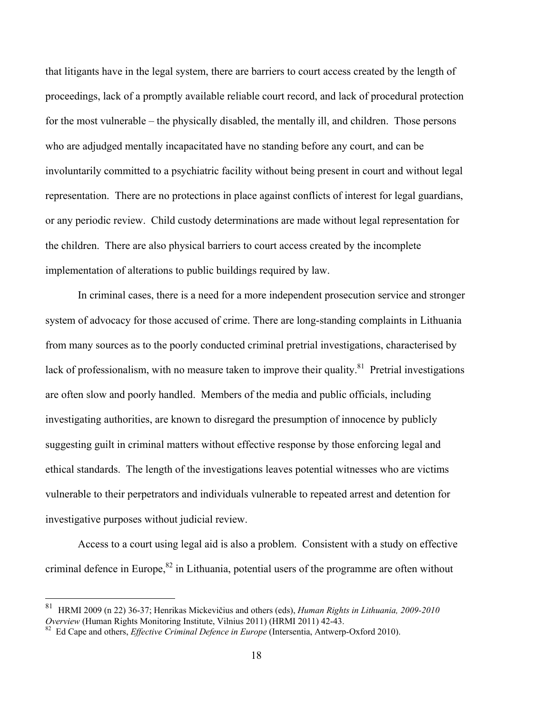that litigants have in the legal system, there are barriers to court access created by the length of proceedings, lack of a promptly available reliable court record, and lack of procedural protection for the most vulnerable – the physically disabled, the mentally ill, and children. Those persons who are adjudged mentally incapacitated have no standing before any court, and can be involuntarily committed to a psychiatric facility without being present in court and without legal representation. There are no protections in place against conflicts of interest for legal guardians, or any periodic review. Child custody determinations are made without legal representation for the children. There are also physical barriers to court access created by the incomplete implementation of alterations to public buildings required by law.

 In criminal cases, there is a need for a more independent prosecution service and stronger system of advocacy for those accused of crime. There are long-standing complaints in Lithuania from many sources as to the poorly conducted criminal pretrial investigations, characterised by lack of professionalism, with no measure taken to improve their quality. $81$  Pretrial investigations are often slow and poorly handled. Members of the media and public officials, including investigating authorities, are known to disregard the presumption of innocence by publicly suggesting guilt in criminal matters without effective response by those enforcing legal and ethical standards. The length of the investigations leaves potential witnesses who are victims vulnerable to their perpetrators and individuals vulnerable to repeated arrest and detention for investigative purposes without judicial review.

Access to a court using legal aid is also a problem. Consistent with a study on effective criminal defence in Europe, $82$  in Lithuania, potential users of the programme are often without

<sup>81</sup> HRMI 2009 (n 22) 36-37; Henrikas Mickevičius and others (eds), *Human Rights in Lithuania, 2009-2010* 

<sup>&</sup>lt;sup>82</sup> Ed Cape and others, *Effective Criminal Defence in Europe* (Intersentia, Antwerp-Oxford 2010).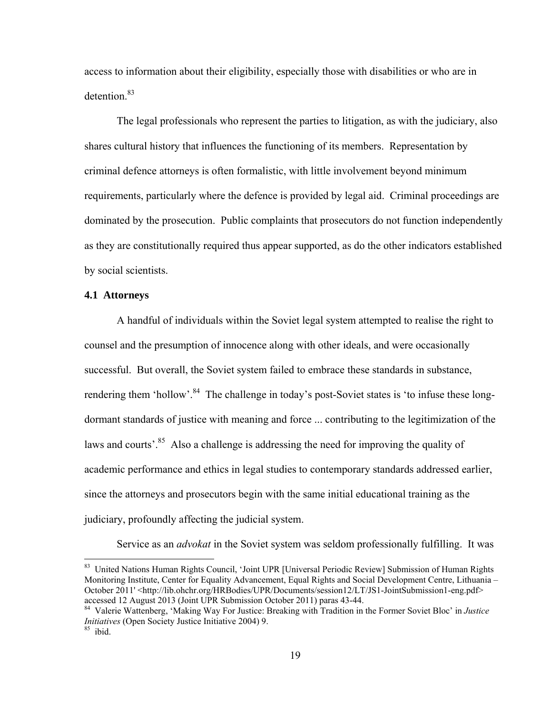access to information about their eligibility, especially those with disabilities or who are in detention.83

The legal professionals who represent the parties to litigation, as with the judiciary, also shares cultural history that influences the functioning of its members. Representation by criminal defence attorneys is often formalistic, with little involvement beyond minimum requirements, particularly where the defence is provided by legal aid. Criminal proceedings are dominated by the prosecution. Public complaints that prosecutors do not function independently as they are constitutionally required thus appear supported, as do the other indicators established by social scientists.

#### **4.1 Attorneys**

 A handful of individuals within the Soviet legal system attempted to realise the right to counsel and the presumption of innocence along with other ideals, and were occasionally successful. But overall, the Soviet system failed to embrace these standards in substance, rendering them 'hollow'.<sup>84</sup> The challenge in today's post-Soviet states is 'to infuse these longdormant standards of justice with meaning and force ... contributing to the legitimization of the laws and courts'.<sup>85</sup> Also a challenge is addressing the need for improving the quality of academic performance and ethics in legal studies to contemporary standards addressed earlier, since the attorneys and prosecutors begin with the same initial educational training as the judiciary, profoundly affecting the judicial system.

Service as an *advokat* in the Soviet system was seldom professionally fulfilling. It was

<sup>&</sup>lt;sup>83</sup> United Nations Human Rights Council, 'Joint UPR [Universal Periodic Review] Submission of Human Rights Monitoring Institute, Center for Equality Advancement, Equal Rights and Social Development Centre, Lithuania – October 2011' <http://lib.ohchr.org/HRBodies/UPR/Documents/session12/LT/JS1-JointSubmission1-eng.pdf> accessed 12 August 2013 (Joint UPR Submission October 2011) paras 43-44.<br><sup>84</sup> Valerie Wattenberg, 'Making Way For Justice: Breaking with Tradition in the Former Soviet Bloc' in *Justice* 

*Initiatives* (Open Society Justice Initiative 2004) 9.<br><sup>85</sup> ibid.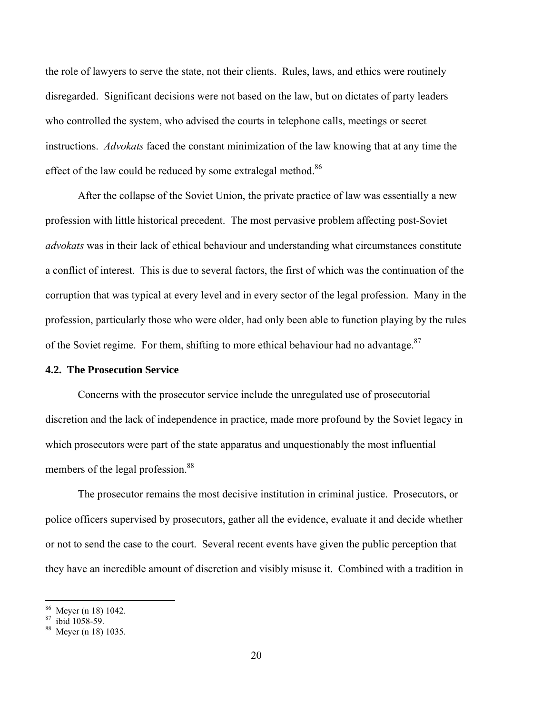the role of lawyers to serve the state, not their clients. Rules, laws, and ethics were routinely disregarded. Significant decisions were not based on the law, but on dictates of party leaders who controlled the system, who advised the courts in telephone calls, meetings or secret instructions. *Advokats* faced the constant minimization of the law knowing that at any time the effect of the law could be reduced by some extralegal method.<sup>86</sup>

 After the collapse of the Soviet Union, the private practice of law was essentially a new profession with little historical precedent. The most pervasive problem affecting post-Soviet *advokats* was in their lack of ethical behaviour and understanding what circumstances constitute a conflict of interest. This is due to several factors, the first of which was the continuation of the corruption that was typical at every level and in every sector of the legal profession. Many in the profession, particularly those who were older, had only been able to function playing by the rules of the Soviet regime. For them, shifting to more ethical behaviour had no advantage.<sup>87</sup>

#### **4.2. The Prosecution Service**

 Concerns with the prosecutor service include the unregulated use of prosecutorial discretion and the lack of independence in practice, made more profound by the Soviet legacy in which prosecutors were part of the state apparatus and unquestionably the most influential members of the legal profession.<sup>88</sup>

 The prosecutor remains the most decisive institution in criminal justice. Prosecutors, or police officers supervised by prosecutors, gather all the evidence, evaluate it and decide whether or not to send the case to the court. Several recent events have given the public perception that they have an incredible amount of discretion and visibly misuse it. Combined with a tradition in

Meyer (n 18) 1042.

 $87$  ibid  $1058-59$ .

<sup>88</sup> Meyer (n 18) 1035.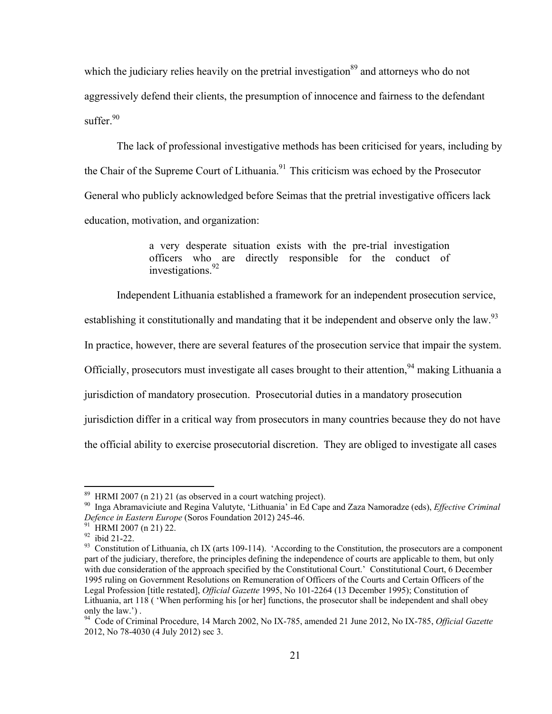which the judiciary relies heavily on the pretrial investigation<sup>89</sup> and attorneys who do not aggressively defend their clients, the presumption of innocence and fairness to the defendant suffer $\frac{90}{2}$ 

The lack of professional investigative methods has been criticised for years, including by the Chair of the Supreme Court of Lithuania.<sup>91</sup> This criticism was echoed by the Prosecutor General who publicly acknowledged before Seimas that the pretrial investigative officers lack education, motivation, and organization:

> a very desperate situation exists with the pre-trial investigation officers who are directly responsible for the conduct of investigations.<sup>92</sup>

Independent Lithuania established a framework for an independent prosecution service,

establishing it constitutionally and mandating that it be independent and observe only the law.<sup>93</sup>

In practice, however, there are several features of the prosecution service that impair the system.

Officially, prosecutors must investigate all cases brought to their attention,  $94$  making Lithuania a

jurisdiction of mandatory prosecution. Prosecutorial duties in a mandatory prosecution

jurisdiction differ in a critical way from prosecutors in many countries because they do not have

the official ability to exercise prosecutorial discretion. They are obliged to investigate all cases

<sup>89</sup> HRMI 2007 (n 21) 21 (as observed in a court watching project).

<sup>90</sup> Inga Abramaviciute and Regina Valutyte, 'Lithuania' in Ed Cape and Zaza Namoradze (eds), *Effective Criminal Defence in Eastern Europe* (Soros Foundation 2012) 245-46.<br><sup>91</sup> HRMI 2007 (n 21) 22.

<sup>92</sup> ibid 21-22.

<sup>&</sup>lt;sup>93</sup> Constitution of Lithuania, ch IX (arts 109-114). 'According to the Constitution, the prosecutors are a component part of the judiciary, therefore, the principles defining the independence of courts are applicable to them, but only with due consideration of the approach specified by the Constitutional Court.' Constitutional Court, 6 December 1995 ruling on Government Resolutions on Remuneration of Officers of the Courts and Certain Officers of the Legal Profession [title restated], *Official Gazette* 1995, No 101-2264 (13 December 1995); Constitution of Lithuania, art 118 ( 'When performing his [or her] functions, the prosecutor shall be independent and shall obey only the law.') .

<sup>94</sup> Code of Criminal Procedure, 14 March 2002, No IX-785, amended 21 June 2012, No IX-785, *Official Gazette* 2012, No 78-4030 (4 July 2012) sec 3.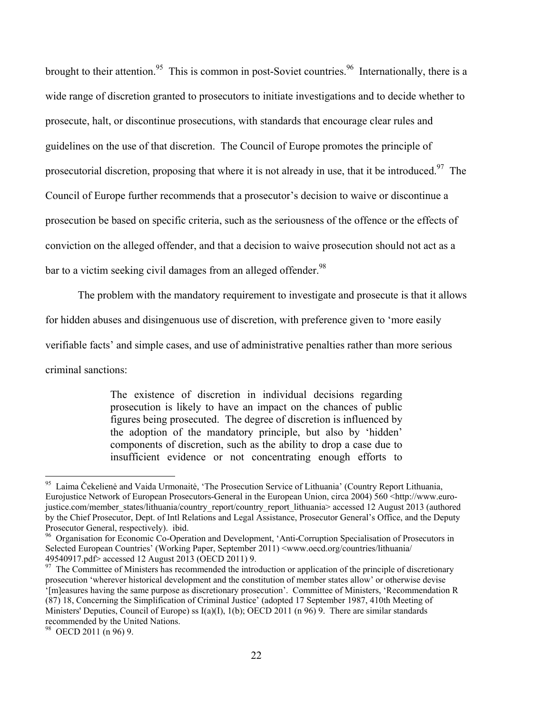brought to their attention.<sup>95</sup> This is common in post-Soviet countries.<sup>96</sup> Internationally, there is a wide range of discretion granted to prosecutors to initiate investigations and to decide whether to prosecute, halt, or discontinue prosecutions, with standards that encourage clear rules and guidelines on the use of that discretion. The Council of Europe promotes the principle of prosecutorial discretion, proposing that where it is not already in use, that it be introduced.<sup>97</sup> The Council of Europe further recommends that a prosecutor's decision to waive or discontinue a prosecution be based on specific criteria, such as the seriousness of the offence or the effects of conviction on the alleged offender, and that a decision to waive prosecution should not act as a bar to a victim seeking civil damages from an alleged offender.<sup>98</sup>

 The problem with the mandatory requirement to investigate and prosecute is that it allows for hidden abuses and disingenuous use of discretion, with preference given to 'more easily verifiable facts' and simple cases, and use of administrative penalties rather than more serious criminal sanctions:

> The existence of discretion in individual decisions regarding prosecution is likely to have an impact on the chances of public figures being prosecuted. The degree of discretion is influenced by the adoption of the mandatory principle, but also by 'hidden' components of discretion, such as the ability to drop a case due to insufficient evidence or not concentrating enough efforts to

98 OECD 2011 (n 96) 9.

<sup>&</sup>lt;sup>95</sup> Laima Čekelienė and Vaida Urmonaitė, 'The Prosecution Service of Lithuania' (Country Report Lithuania, Eurojustice Network of European Prosecutors-General in the European Union, circa 2004) 560 <http://www.eurojustice.com/member\_states/lithuania/country\_report/country\_report\_lithuania> accessed 12 August 2013 (authored by the Chief Prosecutor, Dept. of Intl Relations and Legal Assistance, Prosecutor General's Office, and the Deputy Prosecutor General, respectively). ibid.

<sup>&</sup>lt;sup>96</sup> Organisation for Economic Co-Operation and Development, 'Anti-Corruption Specialisation of Prosecutors in Selected European Countries' (Working Paper, September 2011) <www.oecd.org/countries/lithuania/ 49540917.pdf> accessed 12 August 2013 (OECD 2011) 9.<br><sup>97</sup> The Committee of Ministers has recommended the introduction or application of the principle of discretionary

prosecution 'wherever historical development and the constitution of member states allow' or otherwise devise '[m]easures having the same purpose as discretionary prosecution'. Committee of Ministers, 'Recommendation R (87) 18, Concerning the Simplification of Criminal Justice' (adopted 17 September 1987, 410th Meeting of Ministers' Deputies, Council of Europe) ss  $I(a)(I)$ ,  $I(b)$ ; OECD 2011 (n 96) 9. There are similar standards recommended by the United Nations.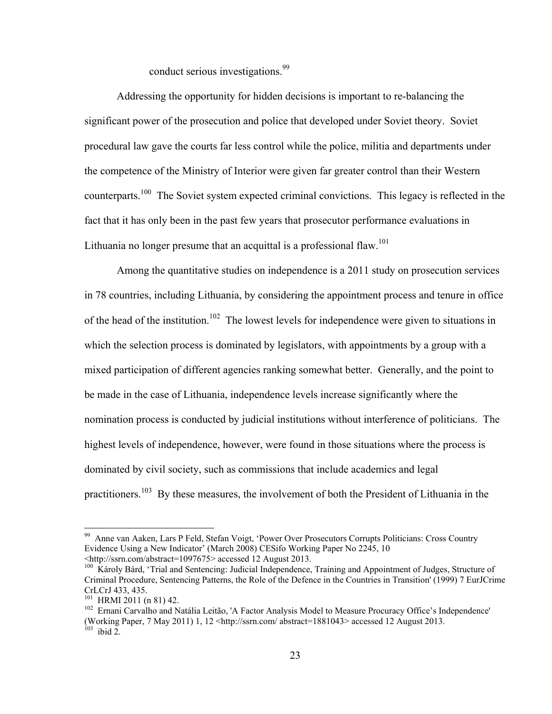conduct serious investigations.<sup>99</sup>

 Addressing the opportunity for hidden decisions is important to re-balancing the significant power of the prosecution and police that developed under Soviet theory. Soviet procedural law gave the courts far less control while the police, militia and departments under the competence of the Ministry of Interior were given far greater control than their Western counterparts.<sup>100</sup> The Soviet system expected criminal convictions. This legacy is reflected in the fact that it has only been in the past few years that prosecutor performance evaluations in Lithuania no longer presume that an acquittal is a professional flaw.<sup>101</sup>

 Among the quantitative studies on independence is a 2011 study on prosecution services in 78 countries, including Lithuania, by considering the appointment process and tenure in office of the head of the institution.<sup>102</sup> The lowest levels for independence were given to situations in which the selection process is dominated by legislators, with appointments by a group with a mixed participation of different agencies ranking somewhat better. Generally, and the point to be made in the case of Lithuania, independence levels increase significantly where the nomination process is conducted by judicial institutions without interference of politicians. The highest levels of independence, however, were found in those situations where the process is dominated by civil society, such as commissions that include academics and legal practitioners.<sup>103</sup> By these measures, the involvement of both the President of Lithuania in the

<sup>&</sup>lt;sup>99</sup> Anne van Aaken, Lars P Feld, Stefan Voigt, 'Power Over Prosecutors Corrupts Politicians: Cross Country Evidence Using a New Indicator' (March 2008) CESifo Working Paper No 2245, 10

<sup>&</sup>lt;http://ssrn.com/abstract=1097675> accessed 12 August 2013. 100 Károly Bárd, 'Trial and Sentencing: Judicial Independence, Training and Appointment of Judges, Structure of Criminal Procedure, Sentencing Patterns, the Role of the Defence in the Countries in Transition' (1999) 7 EurJCrime CrLCrJ 433, 435.<br><sup>101</sup> HRMI 2011 (n 81) 42.

<sup>&</sup>lt;sup>102</sup> Ernani Carvalho and Natália Leitão, 'A Factor Analysis Model to Measure Procuracy Office's Independence' (Working Paper, 7 May 2011) 1, 12 <http://ssrn.com/ abstract=1881043> accessed 12 August 2013.  $103$  ibid 2.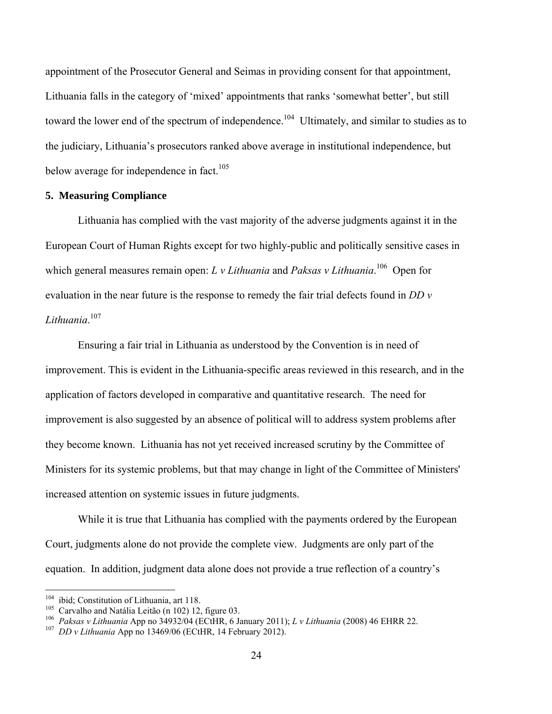appointment of the Prosecutor General and Seimas in providing consent for that appointment, Lithuania falls in the category of 'mixed' appointments that ranks 'somewhat better', but still toward the lower end of the spectrum of independence.<sup>104</sup> Ultimately, and similar to studies as to the judiciary, Lithuania's prosecutors ranked above average in institutional independence, but below average for independence in fact.<sup>105</sup>

#### **5. Measuring Compliance**

 Lithuania has complied with the vast majority of the adverse judgments against it in the European Court of Human Rights except for two highly-public and politically sensitive cases in which general measures remain open: *L v Lithuania* and *Paksas v Lithuania*. 106 Open for evaluation in the near future is the response to remedy the fair trial defects found in *DD v Lithuania*. 107

 Ensuring a fair trial in Lithuania as understood by the Convention is in need of improvement. This is evident in the Lithuania-specific areas reviewed in this research, and in the application of factors developed in comparative and quantitative research. The need for improvement is also suggested by an absence of political will to address system problems after they become known. Lithuania has not yet received increased scrutiny by the Committee of Ministers for its systemic problems, but that may change in light of the Committee of Ministers' increased attention on systemic issues in future judgments.

 While it is true that Lithuania has complied with the payments ordered by the European Court, judgments alone do not provide the complete view. Judgments are only part of the equation. In addition, judgment data alone does not provide a true reflection of a country's

<sup>&</sup>lt;sup>104</sup> ibid: Constitution of Lithuania, art 118.

<sup>&</sup>lt;sup>105</sup> Carvalho and Natália Leitão (n 102) 12, figure 03.<br><sup>106</sup> Paksas v Lithuania App no 34932/04 (ECtHR, 6 January 2011); *L* v Lithuania (2008) 46 EHRR 22.<br><sup>107</sup> *DD v Lithuania* App no 13469/06 (ECtHR, 14 February 2012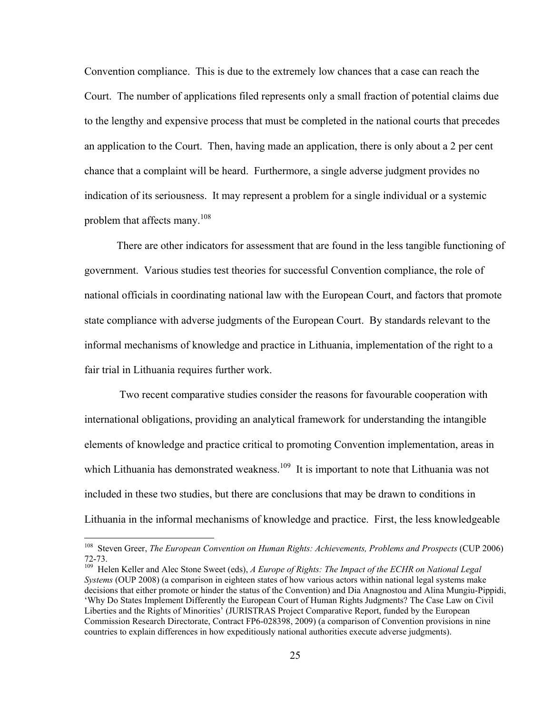Convention compliance. This is due to the extremely low chances that a case can reach the Court. The number of applications filed represents only a small fraction of potential claims due to the lengthy and expensive process that must be completed in the national courts that precedes an application to the Court. Then, having made an application, there is only about a 2 per cent chance that a complaint will be heard. Furthermore, a single adverse judgment provides no indication of its seriousness. It may represent a problem for a single individual or a systemic problem that affects many.<sup>108</sup>

 There are other indicators for assessment that are found in the less tangible functioning of government. Various studies test theories for successful Convention compliance, the role of national officials in coordinating national law with the European Court, and factors that promote state compliance with adverse judgments of the European Court. By standards relevant to the informal mechanisms of knowledge and practice in Lithuania, implementation of the right to a fair trial in Lithuania requires further work.

 Two recent comparative studies consider the reasons for favourable cooperation with international obligations, providing an analytical framework for understanding the intangible elements of knowledge and practice critical to promoting Convention implementation, areas in which Lithuania has demonstrated weakness.<sup>109</sup> It is important to note that Lithuania was not included in these two studies, but there are conclusions that may be drawn to conditions in Lithuania in the informal mechanisms of knowledge and practice. First, the less knowledgeable

<sup>108</sup> Steven Greer, *The European Convention on Human Rights: Achievements, Problems and Prospects* (CUP 2006) 72-73.

<sup>&</sup>lt;sup>109</sup> Helen Keller and Alec Stone Sweet (eds), *A Europe of Rights: The Impact of the ECHR on National Legal Systems* (OUP 2008) (a comparison in eighteen states of how various actors within national legal systems make decisions that either promote or hinder the status of the Convention) and Dia Anagnostou and Alina Mungiu-Pippidi, 'Why Do States Implement Differently the European Court of Human Rights Judgments? The Case Law on Civil Liberties and the Rights of Minorities' (JURISTRAS Project Comparative Report, funded by the European Commission Research Directorate, Contract FP6-028398, 2009) (a comparison of Convention provisions in nine countries to explain differences in how expeditiously national authorities execute adverse judgments).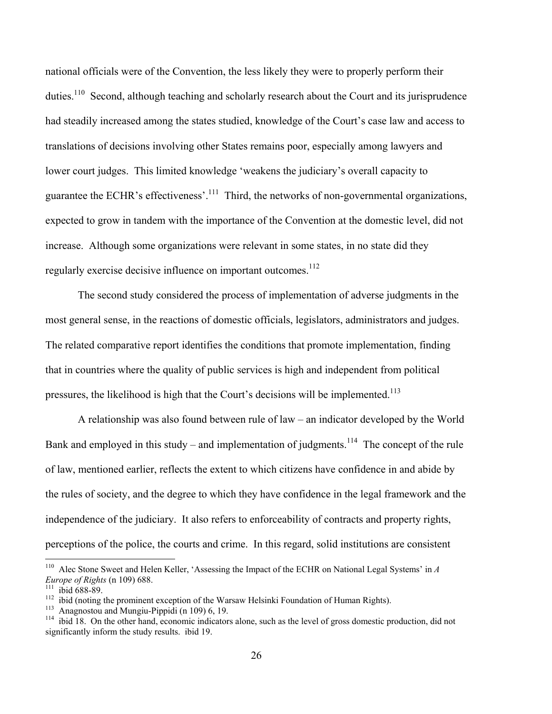national officials were of the Convention, the less likely they were to properly perform their duties.<sup>110</sup> Second, although teaching and scholarly research about the Court and its jurisprudence had steadily increased among the states studied, knowledge of the Court's case law and access to translations of decisions involving other States remains poor, especially among lawyers and lower court judges. This limited knowledge 'weakens the judiciary's overall capacity to guarantee the ECHR's effectiveness'.111 Third, the networks of non-governmental organizations, expected to grow in tandem with the importance of the Convention at the domestic level, did not increase. Although some organizations were relevant in some states, in no state did they regularly exercise decisive influence on important outcomes.<sup>112</sup>

 The second study considered the process of implementation of adverse judgments in the most general sense, in the reactions of domestic officials, legislators, administrators and judges. The related comparative report identifies the conditions that promote implementation, finding that in countries where the quality of public services is high and independent from political pressures, the likelihood is high that the Court's decisions will be implemented.<sup>113</sup>

 A relationship was also found between rule of law – an indicator developed by the World Bank and employed in this study – and implementation of judgments.<sup>114</sup> The concept of the rule of law, mentioned earlier, reflects the extent to which citizens have confidence in and abide by the rules of society, and the degree to which they have confidence in the legal framework and the independence of the judiciary. It also refers to enforceability of contracts and property rights, perceptions of the police, the courts and crime. In this regard, solid institutions are consistent

<sup>110</sup> Alec Stone Sweet and Helen Keller, 'Assessing the Impact of the ECHR on National Legal Systems' in *A*  Europe of Rights (n 109) 688.<br>
<sup>111</sup> ibid 688-89.<br>
<sup>112</sup> ibid (noting the prominent exception of the Warsaw Helsinki Foundation of Human Rights).<br>
<sup>113</sup> Anagnostou and Mungiu-Pippidi (n 109) 6, 19.<br>
<sup>114</sup> ibid 18. On the

significantly inform the study results. ibid 19.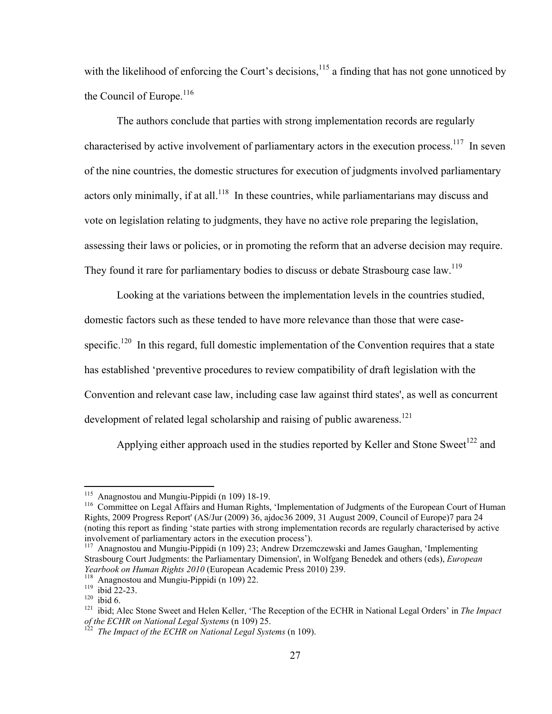with the likelihood of enforcing the Court's decisions,  $^{115}$  a finding that has not gone unnoticed by the Council of Europe.<sup>116</sup>

 The authors conclude that parties with strong implementation records are regularly characterised by active involvement of parliamentary actors in the execution process.<sup>117</sup> In seven of the nine countries, the domestic structures for execution of judgments involved parliamentary actors only minimally, if at all.<sup>118</sup> In these countries, while parliamentarians may discuss and vote on legislation relating to judgments, they have no active role preparing the legislation, assessing their laws or policies, or in promoting the reform that an adverse decision may require. They found it rare for parliamentary bodies to discuss or debate Strasbourg case law.<sup>119</sup>

 Looking at the variations between the implementation levels in the countries studied, domestic factors such as these tended to have more relevance than those that were casespecific.<sup>120</sup> In this regard, full domestic implementation of the Convention requires that a state has established 'preventive procedures to review compatibility of draft legislation with the Convention and relevant case law, including case law against third states', as well as concurrent development of related legal scholarship and raising of public awareness.<sup>121</sup>

Applying either approach used in the studies reported by Keller and Stone Sweet<sup>122</sup> and

<sup>&</sup>lt;sup>115</sup> Anagnostou and Mungiu-Pippidi (n 109) 18-19.

<sup>&</sup>lt;sup>116</sup> Committee on Legal Affairs and Human Rights, 'Implementation of Judgments of the European Court of Human Rights, 2009 Progress Report' (AS/Jur (2009) 36, ajdoc36 2009, 31 August 2009, Council of Europe)7 para 24 (noting this report as finding 'state parties with strong implementation records are regularly characterised by active involvement of parliamentary actors in the execution process'). 117 Anagnostou and Mungiu-Pippidi (n 109) 23; Andrew Drzemczewski and James Gaughan, 'Implementing

Strasbourg Court Judgments: the Parliamentary Dimension', in Wolfgang Benedek and others (eds), *European* 

<sup>&</sup>lt;sup>118</sup> Anagnostou and Mungiu-Pippidi (n 109) 22.<br><sup>119</sup> ibid 22-23.<br><sup>120</sup> ibid 6.<br><sup>121</sup> ibid; Alec Stone Sweet and Helen Keller, 'The Reception of the ECHR in National Legal Orders' in *The Impact of the ECHR on National Legal Systems* (n 109) 25. 122 *The Impact of the ECHR on National Legal Systems* (n 109).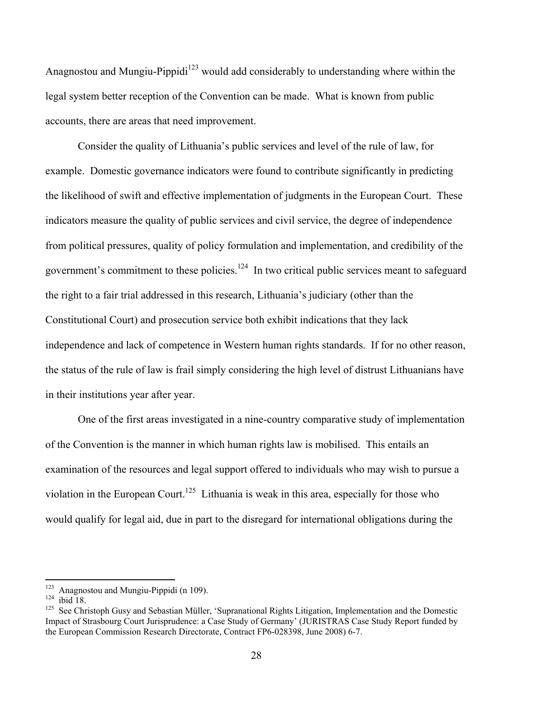Anagnostou and Mungiu-Pippidi<sup>123</sup> would add considerably to understanding where within the legal system better reception of the Convention can be made. What is known from public accounts, there are areas that need improvement.

 Consider the quality of Lithuania's public services and level of the rule of law, for example. Domestic governance indicators were found to contribute significantly in predicting the likelihood of swift and effective implementation of judgments in the European Court. These indicators measure the quality of public services and civil service, the degree of independence from political pressures, quality of policy formulation and implementation, and credibility of the government's commitment to these policies.<sup>124</sup> In two critical public services meant to safeguard the right to a fair trial addressed in this research, Lithuania's judiciary (other than the Constitutional Court) and prosecution service both exhibit indications that they lack independence and lack of competence in Western human rights standards. If for no other reason, the status of the rule of law is frail simply considering the high level of distrust Lithuanians have in their institutions year after year.

 One of the first areas investigated in a nine-country comparative study of implementation of the Convention is the manner in which human rights law is mobilised. This entails an examination of the resources and legal support offered to individuals who may wish to pursue a violation in the European Court.<sup>125</sup> Lithuania is weak in this area, especially for those who would qualify for legal aid, due in part to the disregard for international obligations during the

<sup>&</sup>lt;sup>123</sup> Anagnostou and Mungiu-Pippidi (n 109).<br><sup>124</sup> ibid 18. **125** See Christoph Gusy and Sebastian Müller, 'Supranational Rights Litigation, Implementation and the Domestic Impact of Strasbourg Court Jurisprudence: a Case Study of Germany' (JURISTRAS Case Study Report funded by the European Commission Research Directorate, Contract FP6-028398, June 2008) 6-7.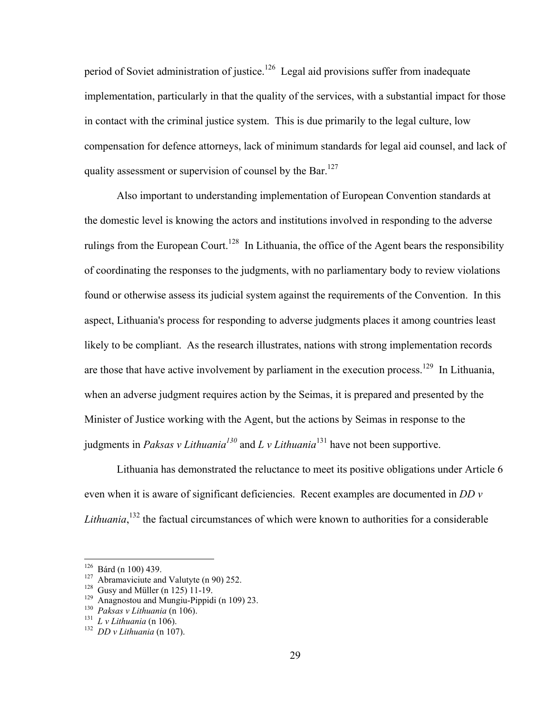period of Soviet administration of justice.<sup>126</sup> Legal aid provisions suffer from inadequate implementation, particularly in that the quality of the services, with a substantial impact for those in contact with the criminal justice system. This is due primarily to the legal culture, low compensation for defence attorneys, lack of minimum standards for legal aid counsel, and lack of quality assessment or supervision of counsel by the Bar.<sup>127</sup>

 Also important to understanding implementation of European Convention standards at the domestic level is knowing the actors and institutions involved in responding to the adverse rulings from the European Court.<sup>128</sup> In Lithuania, the office of the Agent bears the responsibility of coordinating the responses to the judgments, with no parliamentary body to review violations found or otherwise assess its judicial system against the requirements of the Convention. In this aspect, Lithuania's process for responding to adverse judgments places it among countries least likely to be compliant. As the research illustrates, nations with strong implementation records are those that have active involvement by parliament in the execution process.<sup>129</sup> In Lithuania, when an adverse judgment requires action by the Seimas, it is prepared and presented by the Minister of Justice working with the Agent, but the actions by Seimas in response to the judgments in *Paksas v Lithuania*<sup>130</sup> and *L v Lithuania*<sup>131</sup> have not been supportive.

 Lithuania has demonstrated the reluctance to meet its positive obligations under Article 6 even when it is aware of significant deficiencies. Recent examples are documented in *DD v*  Lithuania,<sup>132</sup> the factual circumstances of which were known to authorities for a considerable

<sup>&</sup>lt;sup>126</sup> Bárd (n 100) 439.

<sup>&</sup>lt;sup>127</sup> Abramaviciute and Valutyte (n 90) 252.<br><sup>128</sup> Gusy and Müller (n 125) 11-19.<br><sup>129</sup> Anagnostou and Mungiu-Pippidi (n 109) 23.<br><sup>130</sup> *Paksas v Lithuania* (n 106).<br><sup>131</sup> *L v Lithuania* (n 106).<br><sup>132</sup> *DD v Lithuania* (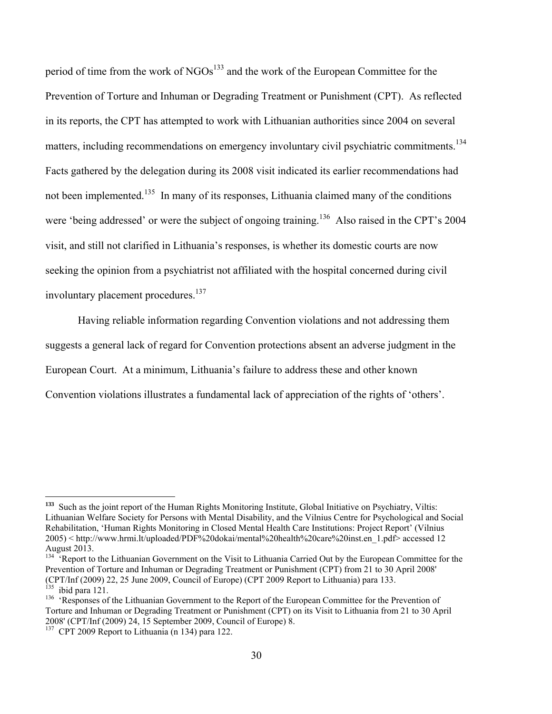period of time from the work of NGOs<sup>133</sup> and the work of the European Committee for the Prevention of Torture and Inhuman or Degrading Treatment or Punishment (CPT). As reflected in its reports, the CPT has attempted to work with Lithuanian authorities since 2004 on several matters, including recommendations on emergency involuntary civil psychiatric commitments.<sup>134</sup> Facts gathered by the delegation during its 2008 visit indicated its earlier recommendations had not been implemented.<sup>135</sup> In many of its responses, Lithuania claimed many of the conditions were 'being addressed' or were the subject of ongoing training.<sup>136</sup> Also raised in the CPT's 2004 visit, and still not clarified in Lithuania's responses, is whether its domestic courts are now seeking the opinion from a psychiatrist not affiliated with the hospital concerned during civil involuntary placement procedures.<sup>137</sup>

 Having reliable information regarding Convention violations and not addressing them suggests a general lack of regard for Convention protections absent an adverse judgment in the European Court. At a minimum, Lithuania's failure to address these and other known Convention violations illustrates a fundamental lack of appreciation of the rights of 'others'.

**<sup>133</sup>** Such as the joint report of the Human Rights Monitoring Institute, Global Initiative on Psychiatry, Viltis: Lithuanian Welfare Society for Persons with Mental Disability, and the Vilnius Centre for Psychological and Social Rehabilitation, 'Human Rights Monitoring in Closed Mental Health Care Institutions: Project Report' (Vilnius 2005) < http://www.hrmi.lt/uploaded/PDF%20dokai/mental%20health%20care%20inst.en\_1.pdf> accessed 12 August 2013.

<sup>&</sup>lt;sup>134</sup> 'Report to the Lithuanian Government on the Visit to Lithuania Carried Out by the European Committee for the Prevention of Torture and Inhuman or Degrading Treatment or Punishment (CPT) from 21 to 30 April 2008' (CPT/Inf (2009) 22, 25 June 2009, Council of Europe) (CPT 2009 Report to Lithuania) para 133.

<sup>&</sup>lt;sup>136</sup> 'Responses of the Lithuanian Government to the Report of the European Committee for the Prevention of Torture and Inhuman or Degrading Treatment or Punishment (CPT) on its Visit to Lithuania from 21 to 30 April 2008' (CPT/Inf (2009) 24, 15 September 2009, Council of Europe) 8.

<sup>&</sup>lt;sup>137</sup> CPT 2009 Report to Lithuania (n 134) para 122.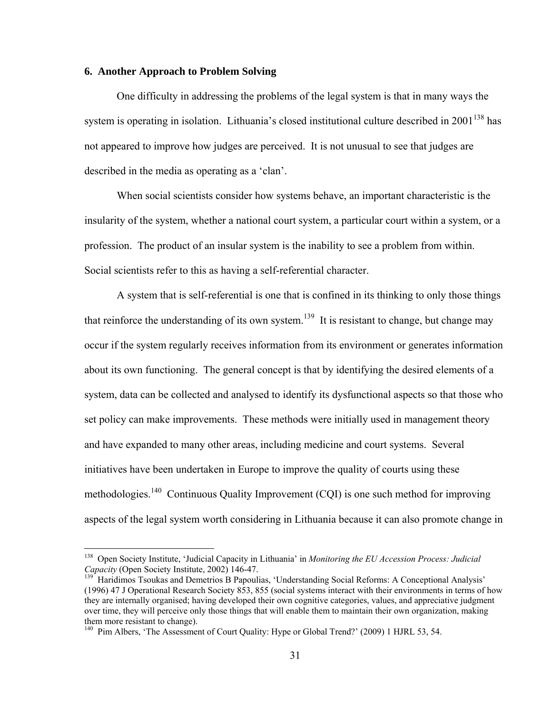#### **6. Another Approach to Problem Solving**

 $\overline{a}$ 

 One difficulty in addressing the problems of the legal system is that in many ways the system is operating in isolation. Lithuania's closed institutional culture described in  $2001^{138}$  has not appeared to improve how judges are perceived. It is not unusual to see that judges are described in the media as operating as a 'clan'.

 When social scientists consider how systems behave, an important characteristic is the insularity of the system, whether a national court system, a particular court within a system, or a profession. The product of an insular system is the inability to see a problem from within. Social scientists refer to this as having a self-referential character.

 A system that is self-referential is one that is confined in its thinking to only those things that reinforce the understanding of its own system.<sup>139</sup> It is resistant to change, but change may occur if the system regularly receives information from its environment or generates information about its own functioning. The general concept is that by identifying the desired elements of a system, data can be collected and analysed to identify its dysfunctional aspects so that those who set policy can make improvements. These methods were initially used in management theory and have expanded to many other areas, including medicine and court systems. Several initiatives have been undertaken in Europe to improve the quality of courts using these methodologies.<sup>140</sup> Continuous Quality Improvement (CQI) is one such method for improving aspects of the legal system worth considering in Lithuania because it can also promote change in

<sup>138</sup> Open Society Institute, 'Judicial Capacity in Lithuania' in *Monitoring the EU Accession Process: Judicial Capacity* (Open Society Institute, 2002) 146-47.<br><sup>139</sup> Haridimos Tsoukas and Demetrios B Papoulias, 'Understanding Social Reforms: A Conceptional Analysis'

<sup>(1996) 47</sup> J Operational Research Society 853, 855 (social systems interact with their environments in terms of how they are internally organised; having developed their own cognitive categories, values, and appreciative judgment over time, they will perceive only those things that will enable them to maintain their own organization, making them more resistant to change).

<sup>&</sup>lt;sup>140</sup> Pim Albers, 'The Assessment of Court Quality: Hype or Global Trend?' (2009) 1 HJRL 53, 54.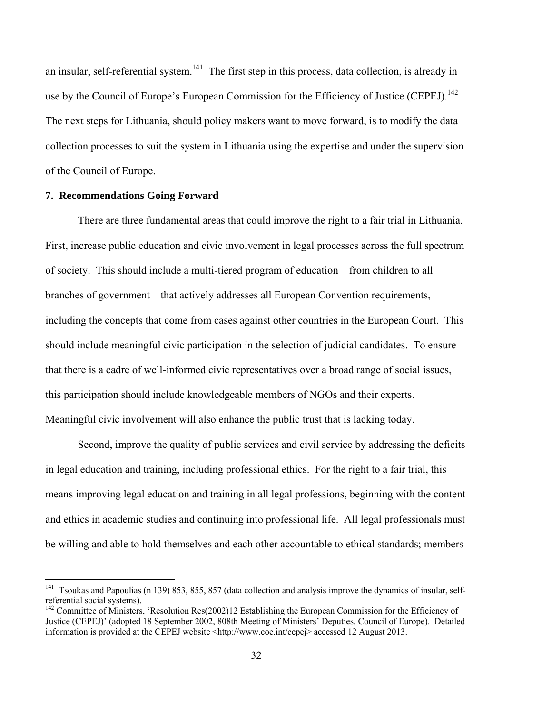an insular, self-referential system.<sup>141</sup> The first step in this process, data collection, is already in use by the Council of Europe's European Commission for the Efficiency of Justice (CEPEJ).<sup>142</sup> The next steps for Lithuania, should policy makers want to move forward, is to modify the data collection processes to suit the system in Lithuania using the expertise and under the supervision of the Council of Europe.

#### **7. Recommendations Going Forward**

 $\overline{a}$ 

 There are three fundamental areas that could improve the right to a fair trial in Lithuania. First, increase public education and civic involvement in legal processes across the full spectrum of society. This should include a multi-tiered program of education – from children to all branches of government – that actively addresses all European Convention requirements, including the concepts that come from cases against other countries in the European Court. This should include meaningful civic participation in the selection of judicial candidates. To ensure that there is a cadre of well-informed civic representatives over a broad range of social issues, this participation should include knowledgeable members of NGOs and their experts. Meaningful civic involvement will also enhance the public trust that is lacking today.

 Second, improve the quality of public services and civil service by addressing the deficits in legal education and training, including professional ethics. For the right to a fair trial, this means improving legal education and training in all legal professions, beginning with the content and ethics in academic studies and continuing into professional life. All legal professionals must be willing and able to hold themselves and each other accountable to ethical standards; members

<sup>&</sup>lt;sup>141</sup> Tsoukas and Papoulias (n 139) 853, 855, 857 (data collection and analysis improve the dynamics of insular, selfreferential social systems).

<sup>&</sup>lt;sup>142</sup> Committee of Ministers, 'Resolution Res(2002)12 Establishing the European Commission for the Efficiency of Justice (CEPEJ)' (adopted 18 September 2002, 808th Meeting of Ministers' Deputies, Council of Europe). Detailed information is provided at the CEPEJ website <http://www.coe.int/cepej> accessed 12 August 2013.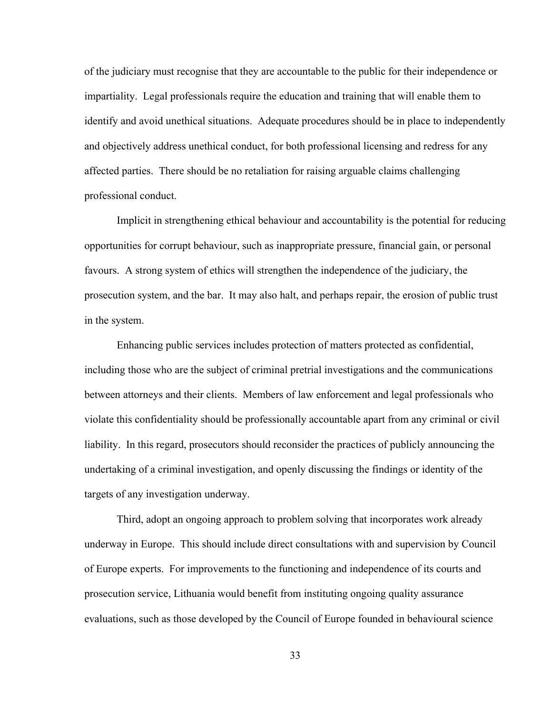of the judiciary must recognise that they are accountable to the public for their independence or impartiality. Legal professionals require the education and training that will enable them to identify and avoid unethical situations. Adequate procedures should be in place to independently and objectively address unethical conduct, for both professional licensing and redress for any affected parties. There should be no retaliation for raising arguable claims challenging professional conduct.

 Implicit in strengthening ethical behaviour and accountability is the potential for reducing opportunities for corrupt behaviour, such as inappropriate pressure, financial gain, or personal favours. A strong system of ethics will strengthen the independence of the judiciary, the prosecution system, and the bar. It may also halt, and perhaps repair, the erosion of public trust in the system.

 Enhancing public services includes protection of matters protected as confidential, including those who are the subject of criminal pretrial investigations and the communications between attorneys and their clients. Members of law enforcement and legal professionals who violate this confidentiality should be professionally accountable apart from any criminal or civil liability. In this regard, prosecutors should reconsider the practices of publicly announcing the undertaking of a criminal investigation, and openly discussing the findings or identity of the targets of any investigation underway.

 Third, adopt an ongoing approach to problem solving that incorporates work already underway in Europe. This should include direct consultations with and supervision by Council of Europe experts. For improvements to the functioning and independence of its courts and prosecution service, Lithuania would benefit from instituting ongoing quality assurance evaluations, such as those developed by the Council of Europe founded in behavioural science

33